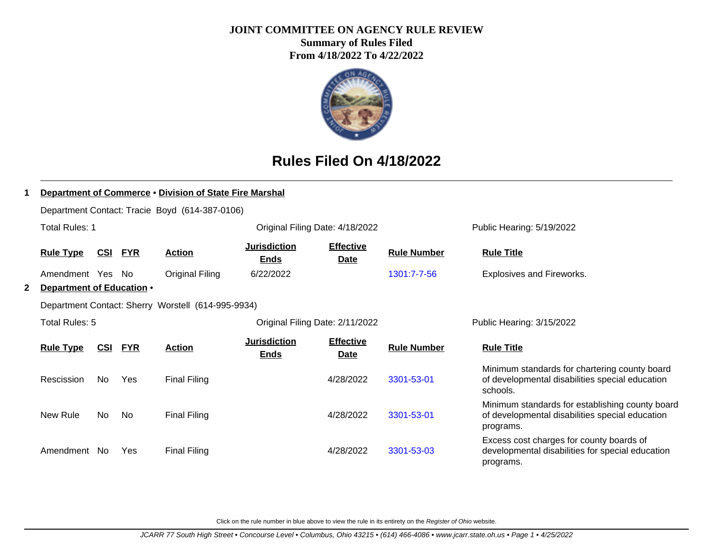## **JOINT COMMITTEE ON AGENCY RULE REVIEW**

**Summary of Rules Filed From 4/18/2022 To 4/22/2022**



# **Rules Filed On 4/18/2022**

|                                                    | Department of Commerce . Division of State Fire Marshal       |     |            |                                                |                                    |                                 |                    |                                                                                                                 |
|----------------------------------------------------|---------------------------------------------------------------|-----|------------|------------------------------------------------|------------------------------------|---------------------------------|--------------------|-----------------------------------------------------------------------------------------------------------------|
|                                                    |                                                               |     |            | Department Contact: Tracie Boyd (614-387-0106) |                                    |                                 |                    |                                                                                                                 |
|                                                    | Total Rules: 1                                                |     |            |                                                |                                    | Original Filing Date: 4/18/2022 |                    | Public Hearing: 5/19/2022                                                                                       |
|                                                    | <u>CSI</u><br><b>FYR</b><br><b>Action</b><br><b>Rule Type</b> |     |            |                                                | <b>Jurisdiction</b><br><b>Ends</b> | <b>Effective</b><br>Date        | <b>Rule Number</b> | <b>Rule Title</b>                                                                                               |
|                                                    | Amendment Yes No                                              |     |            | <b>Original Filing</b>                         | 6/22/2022                          |                                 | 1301:7-7-56        | Explosives and Fireworks.                                                                                       |
| 2                                                  | Department of Education .                                     |     |            |                                                |                                    |                                 |                    |                                                                                                                 |
| Department Contact: Sherry Worstell (614-995-9934) |                                                               |     |            |                                                |                                    |                                 |                    |                                                                                                                 |
|                                                    | Total Rules: 5                                                |     |            |                                                |                                    | Original Filing Date: 2/11/2022 |                    | Public Hearing: 3/15/2022                                                                                       |
|                                                    | <b>Rule Type</b>                                              | CSI | <b>FYR</b> | <b>Action</b>                                  | <b>Jurisdiction</b><br><b>Ends</b> | <b>Effective</b><br><b>Date</b> | <b>Rule Number</b> | <b>Rule Title</b>                                                                                               |
|                                                    | Rescission                                                    | No. | <b>Yes</b> | <b>Final Filing</b>                            |                                    | 4/28/2022                       | 3301-53-01         | Minimum standards for chartering county board<br>of developmental disabilities special education<br>schools.    |
|                                                    | New Rule                                                      | No. | No         | <b>Final Filing</b>                            |                                    | 4/28/2022                       | 3301-53-01         | Minimum standards for establishing county board<br>of developmental disabilities special education<br>programs. |
|                                                    | Amendment No                                                  |     | Yes        | <b>Final Filing</b>                            |                                    | 4/28/2022                       | 3301-53-03         | Excess cost charges for county boards of<br>developmental disabilities for special education<br>programs.       |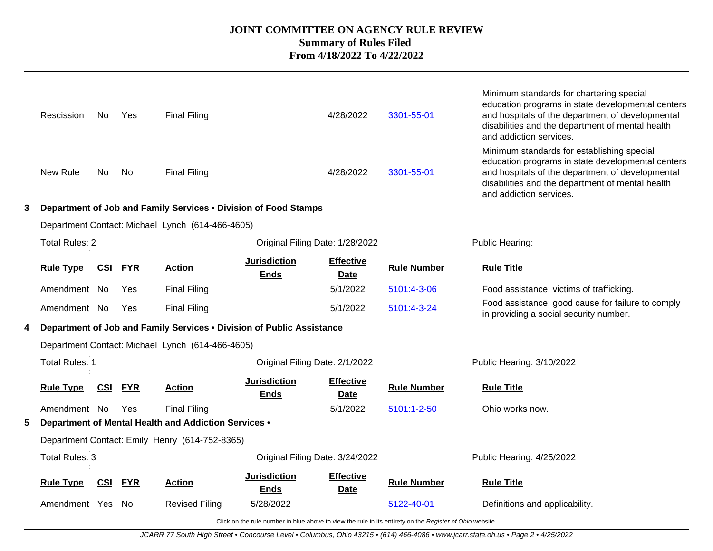|                                                   | Rescission                                                                                               | No.        | Yes        | <b>Final Filing</b>                                                   |                                    | 4/28/2022                       | 3301-55-01         | Minimum standards for chartering special<br>education programs in state developmental centers<br>and hospitals of the department of developmental<br>disabilities and the department of mental health<br>and addiction services.   |  |
|---------------------------------------------------|----------------------------------------------------------------------------------------------------------|------------|------------|-----------------------------------------------------------------------|------------------------------------|---------------------------------|--------------------|------------------------------------------------------------------------------------------------------------------------------------------------------------------------------------------------------------------------------------|--|
|                                                   | New Rule                                                                                                 | No.        | No.        | <b>Final Filing</b>                                                   |                                    | 4/28/2022                       | 3301-55-01         | Minimum standards for establishing special<br>education programs in state developmental centers<br>and hospitals of the department of developmental<br>disabilities and the department of mental health<br>and addiction services. |  |
| 3                                                 |                                                                                                          |            |            | Department of Job and Family Services . Division of Food Stamps       |                                    |                                 |                    |                                                                                                                                                                                                                                    |  |
|                                                   | Department Contact: Michael Lynch (614-466-4605)                                                         |            |            |                                                                       |                                    |                                 |                    |                                                                                                                                                                                                                                    |  |
| Total Rules: 2<br>Original Filing Date: 1/28/2022 |                                                                                                          |            |            |                                                                       |                                    |                                 |                    | Public Hearing:                                                                                                                                                                                                                    |  |
|                                                   | <b>Rule Type</b>                                                                                         | <u>CSI</u> | <b>FYR</b> | <b>Action</b>                                                         | <b>Jurisdiction</b><br><b>Ends</b> | <b>Effective</b><br><b>Date</b> | <b>Rule Number</b> | <b>Rule Title</b>                                                                                                                                                                                                                  |  |
|                                                   | Amendment No                                                                                             |            | Yes        | <b>Final Filing</b>                                                   |                                    | 5/1/2022                        | 5101:4-3-06        | Food assistance: victims of trafficking.                                                                                                                                                                                           |  |
|                                                   | Amendment No                                                                                             |            | Yes        | <b>Final Filing</b>                                                   |                                    | 5/1/2022                        | 5101:4-3-24        | Food assistance: good cause for failure to comply<br>in providing a social security number.                                                                                                                                        |  |
| 4                                                 |                                                                                                          |            |            | Department of Job and Family Services . Division of Public Assistance |                                    |                                 |                    |                                                                                                                                                                                                                                    |  |
|                                                   |                                                                                                          |            |            | Department Contact: Michael Lynch (614-466-4605)                      |                                    |                                 |                    |                                                                                                                                                                                                                                    |  |
|                                                   | Total Rules: 1                                                                                           |            |            |                                                                       | Original Filing Date: 2/1/2022     |                                 |                    | Public Hearing: 3/10/2022                                                                                                                                                                                                          |  |
|                                                   | <b>Rule Type</b>                                                                                         | <u>CSI</u> | <u>FYR</u> | <b>Action</b>                                                         | <b>Jurisdiction</b><br><b>Ends</b> | <b>Effective</b><br><b>Date</b> | <b>Rule Number</b> | <b>Rule Title</b>                                                                                                                                                                                                                  |  |
|                                                   | Amendment No                                                                                             |            | <b>Yes</b> | <b>Final Filing</b>                                                   |                                    | 5/1/2022                        | 5101:1-2-50        | Ohio works now.                                                                                                                                                                                                                    |  |
| 5                                                 |                                                                                                          |            |            | Department of Mental Health and Addiction Services .                  |                                    |                                 |                    |                                                                                                                                                                                                                                    |  |
|                                                   |                                                                                                          |            |            | Department Contact: Emily Henry (614-752-8365)                        |                                    |                                 |                    |                                                                                                                                                                                                                                    |  |
|                                                   | <b>Total Rules: 3</b>                                                                                    |            |            |                                                                       | Original Filing Date: 3/24/2022    |                                 |                    | Public Hearing: 4/25/2022                                                                                                                                                                                                          |  |
|                                                   | <b>Rule Type</b>                                                                                         | <b>CSI</b> | <b>FYR</b> | <b>Action</b>                                                         | <b>Jurisdiction</b><br><b>Ends</b> | <b>Effective</b><br><b>Date</b> | <b>Rule Number</b> | <b>Rule Title</b>                                                                                                                                                                                                                  |  |
|                                                   | Amendment Yes                                                                                            |            | - No       | <b>Revised Filing</b>                                                 | 5/28/2022                          |                                 | 5122-40-01         | Definitions and applicability.                                                                                                                                                                                                     |  |
|                                                   | Click on the rule number in blue above to view the rule in its entirety on the Register of Ohio website. |            |            |                                                                       |                                    |                                 |                    |                                                                                                                                                                                                                                    |  |

JCARR 77 South High Street • Concourse Level • Columbus, Ohio 43215 • (614) 466-4086 • www.jcarr.state.oh.us • Page 2 • 4/25/2022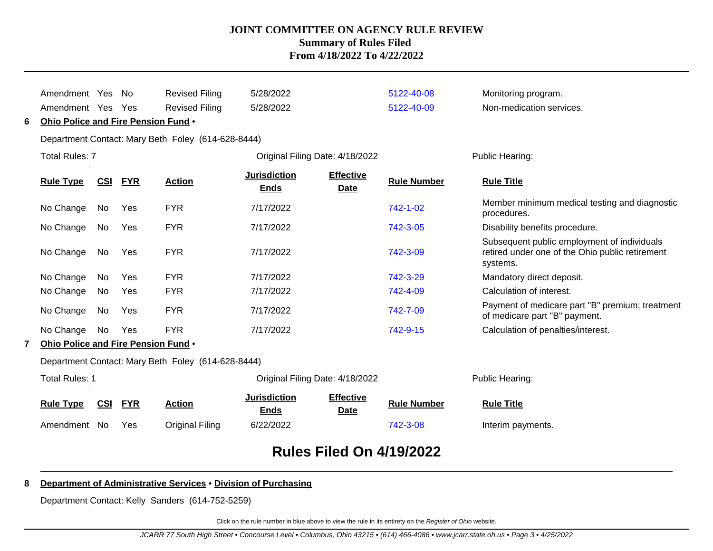|   | Amendment Yes                       |            | No.        | <b>Revised Filing</b>                              | 5/28/2022                          |                                 | 5122-40-08         | Monitoring program.                                                                                        |
|---|-------------------------------------|------------|------------|----------------------------------------------------|------------------------------------|---------------------------------|--------------------|------------------------------------------------------------------------------------------------------------|
|   | Amendment Yes                       |            | Yes        | <b>Revised Filing</b>                              | 5/28/2022                          |                                 | 5122-40-09         | Non-medication services.                                                                                   |
| 6 | Ohio Police and Fire Pension Fund . |            |            |                                                    |                                    |                                 |                    |                                                                                                            |
|   |                                     |            |            | Department Contact: Mary Beth Foley (614-628-8444) |                                    |                                 |                    |                                                                                                            |
|   | <b>Total Rules: 7</b>               |            |            |                                                    | Original Filing Date: 4/18/2022    |                                 |                    | Public Hearing:                                                                                            |
|   | <b>Rule Type</b>                    | <u>CSI</u> | <b>FYR</b> | <b>Action</b>                                      | <b>Jurisdiction</b><br><b>Ends</b> | <b>Effective</b><br><b>Date</b> | <b>Rule Number</b> | <b>Rule Title</b>                                                                                          |
|   | No Change                           | No         | Yes        | <b>FYR</b>                                         | 7/17/2022                          |                                 | 742-1-02           | Member minimum medical testing and diagnostic<br>procedures.                                               |
|   | No Change                           | No         | Yes        | <b>FYR</b>                                         | 7/17/2022                          |                                 | 742-3-05           | Disability benefits procedure.                                                                             |
|   | No Change                           | No         | Yes        | <b>FYR</b>                                         | 7/17/2022                          |                                 | 742-3-09           | Subsequent public employment of individuals<br>retired under one of the Ohio public retirement<br>systems. |
|   | No Change                           | No         | Yes        | <b>FYR</b>                                         | 7/17/2022                          |                                 | 742-3-29           | Mandatory direct deposit.                                                                                  |
|   | No Change                           | No         | Yes        | <b>FYR</b>                                         | 7/17/2022                          |                                 | 742-4-09           | Calculation of interest.                                                                                   |
|   | No Change                           | No         | Yes        | <b>FYR</b>                                         | 7/17/2022                          |                                 | 742-7-09           | Payment of medicare part "B" premium; treatment<br>of medicare part "B" payment.                           |
|   | No Change                           | No         | Yes        | <b>FYR</b>                                         | 7/17/2022                          |                                 | 742-9-15           | Calculation of penalties/interest.                                                                         |
|   | Ohio Police and Fire Pension Fund . |            |            |                                                    |                                    |                                 |                    |                                                                                                            |
|   |                                     |            |            | Department Contact: Mary Beth Foley (614-628-8444) |                                    |                                 |                    |                                                                                                            |
|   | <b>Total Rules: 1</b>               |            |            |                                                    | Original Filing Date: 4/18/2022    |                                 |                    | Public Hearing:                                                                                            |
|   | <b>Rule Type</b>                    | CSI        | <b>FYR</b> | <b>Action</b>                                      | <b>Jurisdiction</b><br><b>Ends</b> | <b>Effective</b><br>Date        | <b>Rule Number</b> | <b>Rule Title</b>                                                                                          |
|   | Amendment No                        |            | Yes        | Original Filing                                    | 6/22/2022                          |                                 | 742-3-08           | Interim payments.                                                                                          |
|   |                                     |            |            |                                                    |                                    |                                 |                    |                                                                                                            |

# **Rules Filed On 4/19/2022**

## **8 Department of Administrative Services** • **Division of Purchasing**

Department Contact: Kelly Sanders (614-752-5259)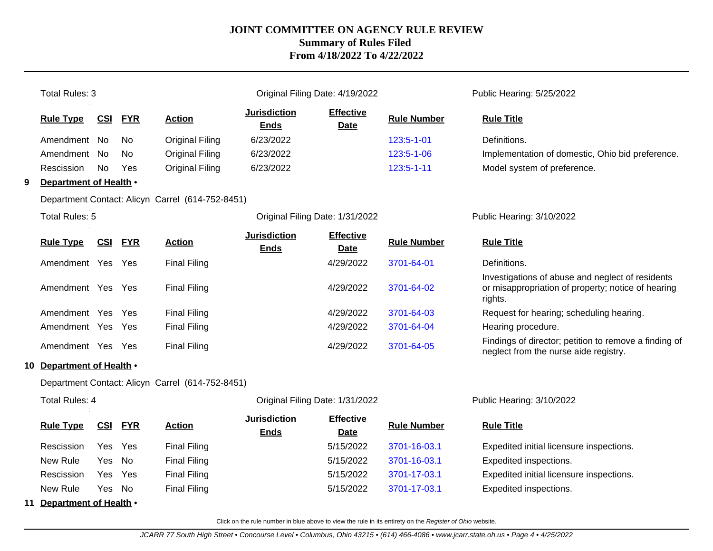|   | <b>Total Rules: 3</b>                                    |            |                |                                                  |                                    | Original Filing Date: 4/19/2022 |                           | Public Hearing: 5/25/2022                                                                                         |
|---|----------------------------------------------------------|------------|----------------|--------------------------------------------------|------------------------------------|---------------------------------|---------------------------|-------------------------------------------------------------------------------------------------------------------|
|   | <b>Rule Type</b>                                         | <b>CSI</b> | <b>FYR</b>     | <b>Action</b>                                    | <b>Jurisdiction</b><br><b>Ends</b> | <b>Effective</b><br><b>Date</b> | <b>Rule Number</b>        | <b>Rule Title</b>                                                                                                 |
|   | Amendment No                                             |            | No.            | <b>Original Filing</b>                           | 6/23/2022                          |                                 | 123:5-1-01                | Definitions.                                                                                                      |
|   | Amendment                                                | No.        | No.            | <b>Original Filing</b>                           | 6/23/2022                          |                                 | 123:5-1-06                | Implementation of domestic, Ohio bid preference.                                                                  |
|   | Rescission                                               | No.        | Yes            | <b>Original Filing</b>                           | 6/23/2022                          |                                 | 123:5-1-11                | Model system of preference.                                                                                       |
| 9 | Department of Health .                                   |            |                |                                                  |                                    |                                 |                           |                                                                                                                   |
|   |                                                          |            |                | Department Contact: Alicyn Carrel (614-752-8451) |                                    |                                 |                           |                                                                                                                   |
|   | <b>Total Rules: 5</b><br>Original Filing Date: 1/31/2022 |            |                |                                                  |                                    |                                 | Public Hearing: 3/10/2022 |                                                                                                                   |
|   | <b>Rule Type</b>                                         |            | <b>CSI FYR</b> | <b>Action</b>                                    | <b>Jurisdiction</b><br><b>Ends</b> | <b>Effective</b><br>Date        | <b>Rule Number</b>        | <b>Rule Title</b>                                                                                                 |
|   | Amendment Yes                                            |            | Yes            | <b>Final Filing</b>                              |                                    | 4/29/2022                       | 3701-64-01                | Definitions.                                                                                                      |
|   | Amendment Yes Yes                                        |            |                | <b>Final Filing</b>                              |                                    | 4/29/2022                       | 3701-64-02                | Investigations of abuse and neglect of residents<br>or misappropriation of property; notice of hearing<br>rights. |
|   | Amendment Yes                                            |            | Yes            | <b>Final Filing</b>                              |                                    | 4/29/2022                       | 3701-64-03                | Request for hearing; scheduling hearing.                                                                          |
|   | Amendment Yes Yes                                        |            |                | <b>Final Filing</b>                              |                                    | 4/29/2022                       | 3701-64-04                | Hearing procedure.                                                                                                |
|   | Amendment Yes Yes                                        |            |                | <b>Final Filing</b>                              |                                    | 4/29/2022                       | 3701-64-05                | Findings of director; petition to remove a finding of<br>neglect from the nurse aide registry.                    |
|   | 10 Department of Health .                                |            |                |                                                  |                                    |                                 |                           |                                                                                                                   |
|   |                                                          |            |                | Department Contact: Alicyn Carrel (614-752-8451) |                                    |                                 |                           |                                                                                                                   |
|   | <b>Total Rules: 4</b>                                    |            |                |                                                  |                                    | Original Filing Date: 1/31/2022 |                           | Public Hearing: 3/10/2022                                                                                         |
|   | <b>Rule Type</b>                                         | <u>CSI</u> | <b>FYR</b>     | <b>Action</b>                                    | <b>Jurisdiction</b><br><b>Ends</b> | <b>Effective</b><br><b>Date</b> | <b>Rule Number</b>        | <b>Rule Title</b>                                                                                                 |
|   | Rescission                                               | Yes        | Yes            | <b>Final Filing</b>                              |                                    | 5/15/2022                       | 3701-16-03.1              | Expedited initial licensure inspections.                                                                          |
|   | New Rule                                                 | Yes        | No             | <b>Final Filing</b>                              |                                    | 5/15/2022                       | 3701-16-03.1              | Expedited inspections.                                                                                            |
|   | Rescission                                               | Yes        | Yes            | <b>Final Filing</b>                              |                                    | 5/15/2022                       | 3701-17-03.1              | Expedited initial licensure inspections.                                                                          |
|   | New Rule                                                 | Yes        | No.            | <b>Final Filing</b>                              |                                    | 5/15/2022                       | 3701-17-03.1              | Expedited inspections.                                                                                            |
|   | 11 Department of Health .                                |            |                |                                                  |                                    |                                 |                           |                                                                                                                   |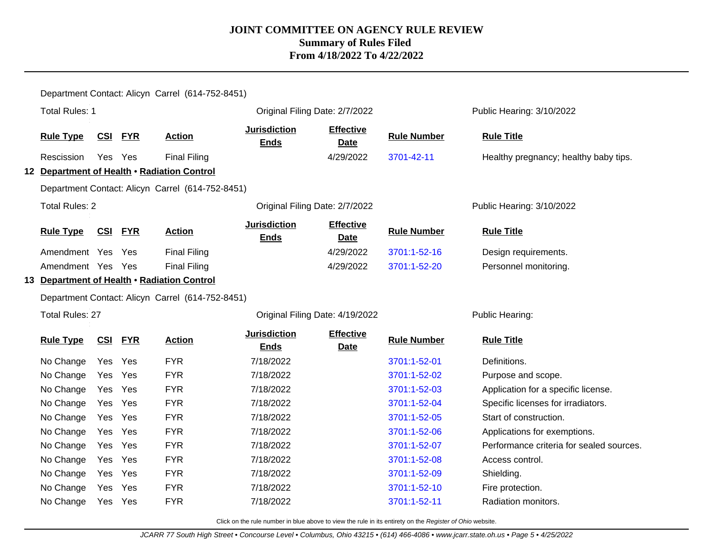|                                                  |                        |            |            | Department Contact: Alicyn Carrel (614-752-8451) |                                    |                                 |                    |                                          |
|--------------------------------------------------|------------------------|------------|------------|--------------------------------------------------|------------------------------------|---------------------------------|--------------------|------------------------------------------|
|                                                  | <b>Total Rules: 1</b>  |            |            |                                                  |                                    | Original Filing Date: 2/7/2022  |                    | Public Hearing: 3/10/2022                |
|                                                  | <b>Rule Type</b>       |            | CSI FYR    | <b>Action</b>                                    | <b>Jurisdiction</b><br><b>Ends</b> | <b>Effective</b><br><b>Date</b> | <b>Rule Number</b> | <b>Rule Title</b>                        |
|                                                  | Rescission             | Yes Yes    |            | <b>Final Filing</b>                              |                                    | 4/29/2022                       | 3701-42-11         | Healthy pregnancy; healthy baby tips.    |
|                                                  |                        |            |            | 12 Department of Health . Radiation Control      |                                    |                                 |                    |                                          |
|                                                  |                        |            |            | Department Contact: Alicyn Carrel (614-752-8451) |                                    |                                 |                    |                                          |
|                                                  | <b>Total Rules: 2</b>  |            |            |                                                  |                                    | Original Filing Date: 2/7/2022  |                    | Public Hearing: 3/10/2022                |
|                                                  | <b>Rule Type</b>       | CSI        | <b>FYR</b> | <b>Action</b>                                    | <b>Jurisdiction</b><br><b>Ends</b> | <b>Effective</b><br><b>Date</b> | <b>Rule Number</b> | <b>Rule Title</b>                        |
|                                                  | Amendment Yes Yes      |            |            | <b>Final Filing</b>                              |                                    | 4/29/2022                       | 3701:1-52-16       | Design requirements.                     |
|                                                  | Amendment Yes Yes      |            |            | <b>Final Filing</b>                              |                                    | 4/29/2022                       | 3701:1-52-20       | Personnel monitoring.                    |
|                                                  |                        |            |            | 13 Department of Health . Radiation Control      |                                    |                                 |                    |                                          |
| Department Contact: Alicyn Carrel (614-752-8451) |                        |            |            |                                                  |                                    |                                 |                    |                                          |
|                                                  | <b>Total Rules: 27</b> |            |            |                                                  |                                    | Original Filing Date: 4/19/2022 |                    | Public Hearing:                          |
|                                                  | <b>Rule Type</b>       | <b>CSI</b> | <b>FYR</b> | <b>Action</b>                                    | <b>Jurisdiction</b><br><b>Ends</b> | <b>Effective</b><br><b>Date</b> | <b>Rule Number</b> | <b>Rule Title</b>                        |
|                                                  | No Change              | Yes Yes    |            | <b>FYR</b>                                       | 7/18/2022                          |                                 | 3701:1-52-01       | Definitions.                             |
|                                                  | No Change              | Yes        | Yes        | <b>FYR</b>                                       | 7/18/2022                          |                                 | 3701:1-52-02       | Purpose and scope.                       |
|                                                  | No Change              | Yes Yes    |            | <b>FYR</b>                                       | 7/18/2022                          |                                 | 3701:1-52-03       | Application for a specific license.      |
|                                                  | No Change              | Yes        | Yes        | <b>FYR</b>                                       | 7/18/2022                          |                                 | 3701:1-52-04       | Specific licenses for irradiators.       |
|                                                  | No Change              | Yes Yes    |            | <b>FYR</b>                                       | 7/18/2022                          |                                 | 3701:1-52-05       | Start of construction.                   |
|                                                  | No Change              | Yes Yes    |            | <b>FYR</b>                                       | 7/18/2022                          |                                 | 3701:1-52-06       | Applications for exemptions.             |
|                                                  | No Change              | Yes Yes    |            | <b>FYR</b>                                       | 7/18/2022                          |                                 | 3701:1-52-07       | Performance criteria for sealed sources. |
|                                                  | No Change              | Yes Yes    |            | <b>FYR</b>                                       | 7/18/2022                          |                                 | 3701:1-52-08       | Access control.                          |
|                                                  | No Change              | Yes        | Yes        | <b>FYR</b>                                       | 7/18/2022                          |                                 | 3701:1-52-09       | Shielding.                               |
|                                                  | No Change              | Yes        | Yes        | <b>FYR</b>                                       | 7/18/2022                          |                                 | 3701:1-52-10       | Fire protection.                         |
|                                                  | No Change              | Yes        | Yes        | <b>FYR</b>                                       | 7/18/2022                          |                                 | 3701:1-52-11       | Radiation monitors.                      |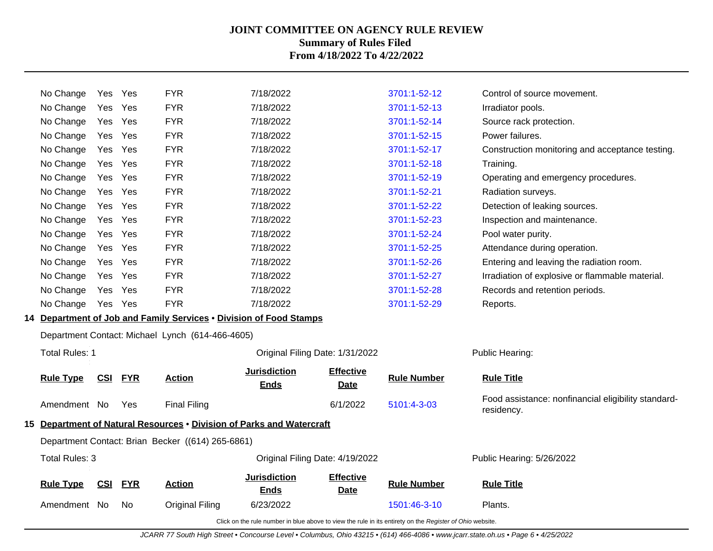| Amendment No           |                | No.        | <b>Original Filing</b>                            | 6/23/2022<br>Click on the rule number in blue above to view the rule in its entirety on the Register of Ohio website. |                                 | 1501:46-3-10                 | Plants.                                                           |
|------------------------|----------------|------------|---------------------------------------------------|-----------------------------------------------------------------------------------------------------------------------|---------------------------------|------------------------------|-------------------------------------------------------------------|
| <b>Rule Type</b>       | CSI            | <b>FYR</b> | <b>Action</b>                                     | <b>Jurisdiction</b><br><b>Ends</b>                                                                                    | <b>Effective</b><br><b>Date</b> | <b>Rule Number</b>           | <b>Rule Title</b>                                                 |
| Total Rules: 3         |                |            |                                                   |                                                                                                                       | Original Filing Date: 4/19/2022 |                              | Public Hearing: 5/26/2022                                         |
|                        |                |            | Department Contact: Brian Becker ((614) 265-6861) |                                                                                                                       |                                 |                              |                                                                   |
|                        |                |            |                                                   | 15 Department of Natural Resources . Division of Parks and Watercraft                                                 |                                 |                              |                                                                   |
| Amendment No           |                | Yes        | <b>Final Filing</b>                               |                                                                                                                       | 6/1/2022                        | 5101:4-3-03                  | Food assistance: nonfinancial eligibility standard-<br>residency. |
| <b>Rule Type</b>       | CSI            | <b>FYR</b> | <b>Action</b>                                     | <b>Jurisdiction</b><br><b>Ends</b>                                                                                    | <b>Effective</b><br><b>Date</b> | <b>Rule Number</b>           | <b>Rule Title</b>                                                 |
| <b>Total Rules: 1</b>  |                |            |                                                   |                                                                                                                       | Original Filing Date: 1/31/2022 |                              | Public Hearing:                                                   |
|                        |                |            | Department Contact: Michael Lynch (614-466-4605)  |                                                                                                                       |                                 |                              |                                                                   |
|                        |                |            |                                                   | 14 Department of Job and Family Services . Division of Food Stamps                                                    |                                 |                              |                                                                   |
| No Change              | Yes Yes        |            | <b>FYR</b>                                        | 7/18/2022                                                                                                             |                                 | 3701:1-52-29                 | Reports.                                                          |
| No Change              | Yes Yes        |            | <b>FYR</b>                                        | 7/18/2022                                                                                                             |                                 | 3701:1-52-28                 | Records and retention periods.                                    |
| No Change              | Yes            | Yes        | <b>FYR</b>                                        | 7/18/2022                                                                                                             |                                 | 3701:1-52-27                 | Irradiation of explosive or flammable material.                   |
| No Change              | Yes Yes        |            | <b>FYR</b>                                        | 7/18/2022                                                                                                             |                                 | 3701:1-52-26                 | Entering and leaving the radiation room.                          |
| No Change              | Yes            | Yes        | <b>FYR</b>                                        | 7/18/2022                                                                                                             |                                 | 3701:1-52-25                 | Attendance during operation.                                      |
| No Change              | Yes            | Yes        | <b>FYR</b>                                        | 7/18/2022                                                                                                             |                                 | 3701:1-52-24                 | Pool water purity.                                                |
| No Change              | Yes Yes        |            | <b>FYR</b>                                        | 7/18/2022                                                                                                             |                                 | 3701:1-52-23                 | Inspection and maintenance.                                       |
| No Change              | Yes            | Yes        | <b>FYR</b>                                        | 7/18/2022                                                                                                             |                                 | 3701:1-52-22                 | Detection of leaking sources.                                     |
| No Change              | Yes            | Yes        | <b>FYR</b>                                        | 7/18/2022                                                                                                             |                                 | 3701:1-52-21                 | Radiation surveys.                                                |
| No Change<br>No Change | Yes<br>Yes Yes |            | <b>FYR</b>                                        | 7/18/2022                                                                                                             |                                 | 3701:1-52-19                 | Training.<br>Operating and emergency procedures.                  |
| No Change              | Yes            | Yes<br>Yes | <b>FYR</b><br><b>FYR</b>                          | 7/18/2022<br>7/18/2022                                                                                                |                                 | 3701:1-52-17<br>3701:1-52-18 | Construction monitoring and acceptance testing.                   |
| No Change              | Yes Yes        |            | <b>FYR</b>                                        | 7/18/2022                                                                                                             |                                 | 3701:1-52-15                 | Power failures.                                                   |
| No Change              | Yes            | Yes        | <b>FYR</b>                                        | 7/18/2022                                                                                                             |                                 | 3701:1-52-14                 | Source rack protection.                                           |
| No Change              | Yes            | Yes        | <b>FYR</b>                                        | 7/18/2022                                                                                                             |                                 | 3701:1-52-13                 | Irradiator pools.                                                 |
| No Change              | Yes            | Yes        | <b>FYR</b>                                        | 7/18/2022                                                                                                             |                                 | 3701:1-52-12                 | Control of source movement.                                       |

JCARR 77 South High Street • Concourse Level • Columbus, Ohio 43215 • (614) 466-4086 • www.jcarr.state.oh.us • Page 6 • 4/25/2022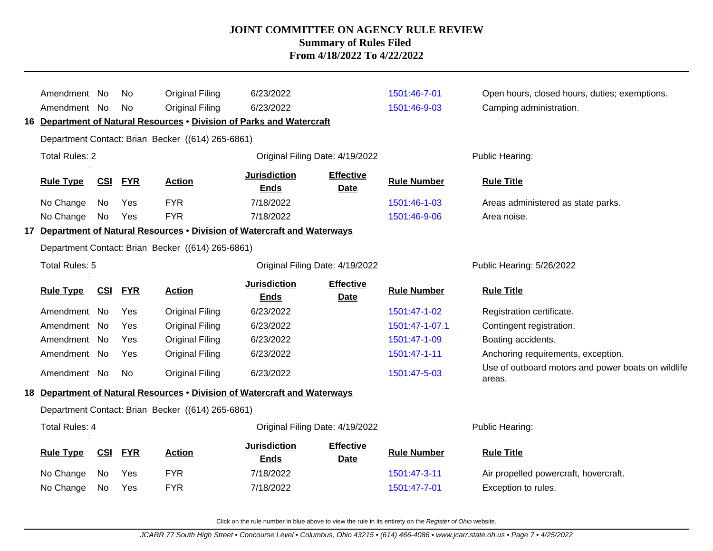|                                                   | Amendment No<br>Amendment No |            | No<br><b>No</b> | <b>Original Filing</b><br>Original Filing<br>16 Department of Natural Resources . Division of Parks and Watercraft<br>Department Contact: Brian Becker ((614) 265-6861) | 6/23/2022<br>6/23/2022             |                                 | 1501:46-7-01<br>1501:46-9-03 | Open hours, closed hours, duties; exemptions.<br>Camping administration. |  |
|---------------------------------------------------|------------------------------|------------|-----------------|-------------------------------------------------------------------------------------------------------------------------------------------------------------------------|------------------------------------|---------------------------------|------------------------------|--------------------------------------------------------------------------|--|
|                                                   | <b>Total Rules: 2</b>        |            |                 |                                                                                                                                                                         | Original Filing Date: 4/19/2022    |                                 |                              | Public Hearing:                                                          |  |
|                                                   | <b>Rule Type</b>             | <b>CSI</b> | <b>FYR</b>      | <b>Action</b>                                                                                                                                                           | <b>Jurisdiction</b><br><b>Ends</b> | <b>Effective</b><br><b>Date</b> | <b>Rule Number</b>           | <b>Rule Title</b>                                                        |  |
|                                                   | No Change                    | No         | Yes             | <b>FYR</b>                                                                                                                                                              | 7/18/2022                          |                                 | 1501:46-1-03                 | Areas administered as state parks.                                       |  |
|                                                   | No Change                    | No         | Yes             | <b>FYR</b>                                                                                                                                                              | 7/18/2022                          |                                 | 1501:46-9-06                 | Area noise.                                                              |  |
| 17                                                |                              |            |                 | Department of Natural Resources . Division of Watercraft and Waterways                                                                                                  |                                    |                                 |                              |                                                                          |  |
| Department Contact: Brian Becker ((614) 265-6861) |                              |            |                 |                                                                                                                                                                         |                                    |                                 |                              |                                                                          |  |
|                                                   | Total Rules: 5               |            |                 |                                                                                                                                                                         |                                    | Public Hearing: 5/26/2022       |                              |                                                                          |  |
|                                                   | <b>Rule Type</b>             | <u>CSI</u> | <u>FYR</u>      | <b>Action</b>                                                                                                                                                           | <b>Jurisdiction</b><br><b>Ends</b> | <b>Effective</b><br><b>Date</b> | <b>Rule Number</b>           | <b>Rule Title</b>                                                        |  |
|                                                   | Amendment No                 |            | Yes             | Original Filing                                                                                                                                                         | 6/23/2022                          |                                 | 1501:47-1-02                 | Registration certificate.                                                |  |
|                                                   | Amendment No                 |            | Yes             | Original Filing                                                                                                                                                         | 6/23/2022                          |                                 | 1501:47-1-07.1               | Contingent registration.                                                 |  |
|                                                   | Amendment No                 |            | Yes             | Original Filing                                                                                                                                                         | 6/23/2022                          |                                 | 1501:47-1-09                 | Boating accidents.                                                       |  |
|                                                   | Amendment No                 |            | Yes             | Original Filing                                                                                                                                                         | 6/23/2022                          |                                 | 1501:47-1-11                 | Anchoring requirements, exception.                                       |  |
|                                                   | Amendment No                 |            | No              | <b>Original Filing</b>                                                                                                                                                  | 6/23/2022                          |                                 | 1501:47-5-03                 | Use of outboard motors and power boats on wildlife<br>areas.             |  |
|                                                   |                              |            |                 | 18 Department of Natural Resources . Division of Watercraft and Waterways                                                                                               |                                    |                                 |                              |                                                                          |  |
|                                                   |                              |            |                 | Department Contact: Brian Becker ((614) 265-6861)                                                                                                                       |                                    |                                 |                              |                                                                          |  |
|                                                   | <b>Total Rules: 4</b>        |            |                 |                                                                                                                                                                         | Original Filing Date: 4/19/2022    |                                 |                              | Public Hearing:                                                          |  |
|                                                   | <b>Rule Type</b>             | CSI        | <b>FYR</b>      | <b>Action</b>                                                                                                                                                           | <b>Jurisdiction</b><br><b>Ends</b> | <b>Effective</b><br><b>Date</b> | <b>Rule Number</b>           | <b>Rule Title</b>                                                        |  |
|                                                   | No Change                    | No         | Yes             | <b>FYR</b>                                                                                                                                                              | 7/18/2022                          |                                 | 1501:47-3-11                 | Air propelled powercraft, hovercraft.                                    |  |
|                                                   | No Change                    | No         | Yes             | <b>FYR</b>                                                                                                                                                              | 7/18/2022                          |                                 | 1501:47-7-01                 | Exception to rules.                                                      |  |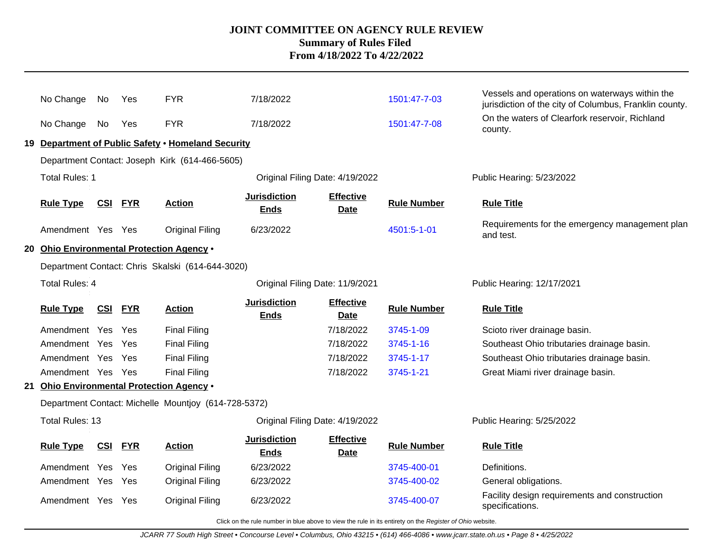|                                                  | No Change                                                | No         | Yes        | <b>FYR</b>                                           | 7/18/2022                          |                                 | 1501:47-7-03       | Vessels and operations on waterways within the              |
|--------------------------------------------------|----------------------------------------------------------|------------|------------|------------------------------------------------------|------------------------------------|---------------------------------|--------------------|-------------------------------------------------------------|
|                                                  |                                                          |            |            |                                                      |                                    |                                 |                    | jurisdiction of the city of Columbus, Franklin county.      |
|                                                  | No Change                                                | No         | Yes        | <b>FYR</b>                                           | 7/18/2022                          |                                 | 1501:47-7-08       | On the waters of Clearfork reservoir, Richland<br>county.   |
| 19                                               |                                                          |            |            | Department of Public Safety . Homeland Security      |                                    |                                 |                    |                                                             |
|                                                  |                                                          |            |            | Department Contact: Joseph Kirk (614-466-5605)       |                                    |                                 |                    |                                                             |
|                                                  | <b>Total Rules: 1</b>                                    |            |            |                                                      | Original Filing Date: 4/19/2022    |                                 |                    | Public Hearing: 5/23/2022                                   |
|                                                  | <b>Rule Type</b>                                         | <u>CSI</u> | <b>FYR</b> | <b>Action</b>                                        | <b>Jurisdiction</b><br><b>Ends</b> | <b>Effective</b><br><b>Date</b> | <b>Rule Number</b> | <b>Rule Title</b>                                           |
|                                                  | Amendment Yes Yes                                        |            |            | <b>Original Filing</b>                               | 6/23/2022                          |                                 | 4501:5-1-01        | Requirements for the emergency management plan<br>and test. |
|                                                  | 20 Ohio Environmental Protection Agency .                |            |            |                                                      |                                    |                                 |                    |                                                             |
| Department Contact: Chris Skalski (614-644-3020) |                                                          |            |            |                                                      |                                    |                                 |                    |                                                             |
|                                                  | <b>Total Rules: 4</b><br>Original Filing Date: 11/9/2021 |            |            |                                                      |                                    |                                 |                    | Public Hearing: 12/17/2021                                  |
|                                                  |                                                          |            |            |                                                      |                                    |                                 |                    |                                                             |
|                                                  | <b>Rule Type</b>                                         | <b>CSI</b> | <b>FYR</b> | <b>Action</b>                                        | <b>Jurisdiction</b><br><b>Ends</b> | <b>Effective</b><br>Date        | <b>Rule Number</b> | <b>Rule Title</b>                                           |
|                                                  | Amendment Yes                                            |            | Yes        | <b>Final Filing</b>                                  |                                    | 7/18/2022                       | 3745-1-09          | Scioto river drainage basin.                                |
|                                                  | Amendment Yes                                            |            | Yes        | <b>Final Filing</b>                                  |                                    | 7/18/2022                       | 3745-1-16          | Southeast Ohio tributaries drainage basin.                  |
|                                                  | Amendment Yes                                            |            | Yes        | <b>Final Filing</b>                                  |                                    | 7/18/2022                       | 3745-1-17          | Southeast Ohio tributaries drainage basin.                  |
|                                                  | Amendment Yes Yes                                        |            |            | <b>Final Filing</b>                                  |                                    | 7/18/2022                       | 3745-1-21          | Great Miami river drainage basin.                           |
|                                                  | 21 Ohio Environmental Protection Agency .                |            |            |                                                      |                                    |                                 |                    |                                                             |
|                                                  |                                                          |            |            | Department Contact: Michelle Mountjoy (614-728-5372) |                                    |                                 |                    |                                                             |
|                                                  | <b>Total Rules: 13</b>                                   |            |            |                                                      | Original Filing Date: 4/19/2022    |                                 |                    | Public Hearing: 5/25/2022                                   |
|                                                  | <b>Rule Type</b>                                         | <b>CSI</b> | <b>FYR</b> | <b>Action</b>                                        | <b>Jurisdiction</b><br><b>Ends</b> | <b>Effective</b><br><b>Date</b> | <b>Rule Number</b> | <b>Rule Title</b>                                           |
|                                                  | Amendment Yes                                            |            | Yes        | <b>Original Filing</b>                               | 6/23/2022                          |                                 | 3745-400-01        | Definitions.                                                |
|                                                  | Amendment Yes Yes                                        |            |            | <b>Original Filing</b>                               | 6/23/2022                          |                                 | 3745-400-02        | General obligations.                                        |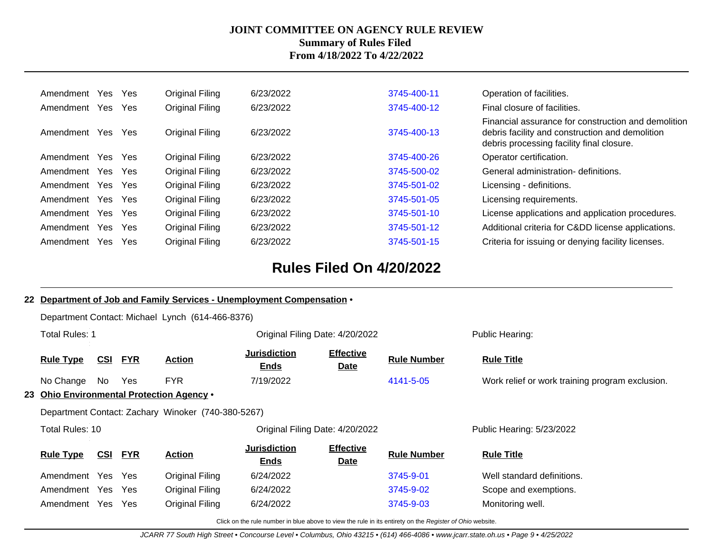| Amendment     | Yes | Yes        | Original Filing        | 6/23/2022 | 3745-400-11 | Operation of facilities.                                                                                                                            |
|---------------|-----|------------|------------------------|-----------|-------------|-----------------------------------------------------------------------------------------------------------------------------------------------------|
| Amendment     | Yes | <b>Yes</b> | Original Filing        | 6/23/2022 | 3745-400-12 | Final closure of facilities.                                                                                                                        |
| Amendment     | Yes | <b>Yes</b> | Original Filing        | 6/23/2022 | 3745-400-13 | Financial assurance for construction and demolition<br>debris facility and construction and demolition<br>debris processing facility final closure. |
| Amendment     | Yes | <b>Yes</b> | Original Filing        | 6/23/2022 | 3745-400-26 | Operator certification.                                                                                                                             |
| Amendment     | Yes | <b>Yes</b> | Original Filing        | 6/23/2022 | 3745-500-02 | General administration- definitions.                                                                                                                |
| Amendment Yes |     | Yes        | Original Filing        | 6/23/2022 | 3745-501-02 | Licensing - definitions.                                                                                                                            |
| Amendment Yes |     | Yes        | Original Filing        | 6/23/2022 | 3745-501-05 | Licensing requirements.                                                                                                                             |
| Amendment     | Yes | Yes        | Original Filing        | 6/23/2022 | 3745-501-10 | License applications and application procedures.                                                                                                    |
| Amendment Yes |     | Yes        | Original Filing        | 6/23/2022 | 3745-501-12 | Additional criteria for Cⅅ license applications.                                                                                                    |
| Amendment     | Yes | <b>Yes</b> | <b>Original Filing</b> | 6/23/2022 | 3745-501-15 | Criteria for issuing or denying facility licenses.                                                                                                  |

# **Rules Filed On 4/20/2022**

|                                                                                                 |                                                               | 22 Department of Job and Family Services - Unemployment Compensation . |            |                                                  |                                                                                                          |                                 |                    |                                                 |  |                 |
|-------------------------------------------------------------------------------------------------|---------------------------------------------------------------|------------------------------------------------------------------------|------------|--------------------------------------------------|----------------------------------------------------------------------------------------------------------|---------------------------------|--------------------|-------------------------------------------------|--|-----------------|
|                                                                                                 |                                                               |                                                                        |            | Department Contact: Michael Lynch (614-466-8376) |                                                                                                          |                                 |                    |                                                 |  |                 |
|                                                                                                 | <b>Total Rules: 1</b>                                         |                                                                        |            |                                                  |                                                                                                          | Original Filing Date: 4/20/2022 |                    | Public Hearing:                                 |  |                 |
|                                                                                                 | <b>FYR</b><br><b>Rule Type</b><br><u>CSI</u><br><u>Action</u> |                                                                        |            |                                                  | <b>Jurisdiction</b><br><u>Ends</u>                                                                       | <b>Effective</b><br><u>Date</u> | <b>Rule Number</b> | <b>Rule Title</b>                               |  |                 |
|                                                                                                 | No Change                                                     | No.                                                                    | Yes        | <b>FYR</b>                                       | 7/19/2022                                                                                                |                                 | 4141-5-05          | Work relief or work training program exclusion. |  |                 |
| 23 Ohio Environmental Protection Agency .<br>Department Contact: Zachary Winoker (740-380-5267) |                                                               |                                                                        |            |                                                  |                                                                                                          |                                 |                    |                                                 |  |                 |
|                                                                                                 |                                                               |                                                                        |            |                                                  |                                                                                                          |                                 |                    |                                                 |  | Total Rules: 10 |
|                                                                                                 | <b>Rule Type</b>                                              | <u>CSI</u>                                                             | <b>FYR</b> | <b>Action</b>                                    | <b>Jurisdiction</b><br><u>Ends</u>                                                                       | <b>Effective</b><br><u>Date</u> | <b>Rule Number</b> | <b>Rule Title</b>                               |  |                 |
|                                                                                                 | Amendment Yes                                                 |                                                                        | Yes        | Original Filing                                  | 6/24/2022                                                                                                |                                 | 3745-9-01          | Well standard definitions.                      |  |                 |
|                                                                                                 | Amendment Yes Yes                                             |                                                                        |            | Original Filing                                  | 6/24/2022                                                                                                |                                 | 3745-9-02          | Scope and exemptions.                           |  |                 |
|                                                                                                 | Amendment Yes                                                 |                                                                        | Yes        | Original Filing                                  | 6/24/2022                                                                                                |                                 | 3745-9-03          | Monitoring well.                                |  |                 |
|                                                                                                 |                                                               |                                                                        |            |                                                  | Click on the rule number in blue above to view the rule in its entirety on the Register of Ohio website. |                                 |                    |                                                 |  |                 |

JCARR 77 South High Street • Concourse Level • Columbus, Ohio 43215 • (614) 466-4086 • www.jcarr.state.oh.us • Page 9 • 4/25/2022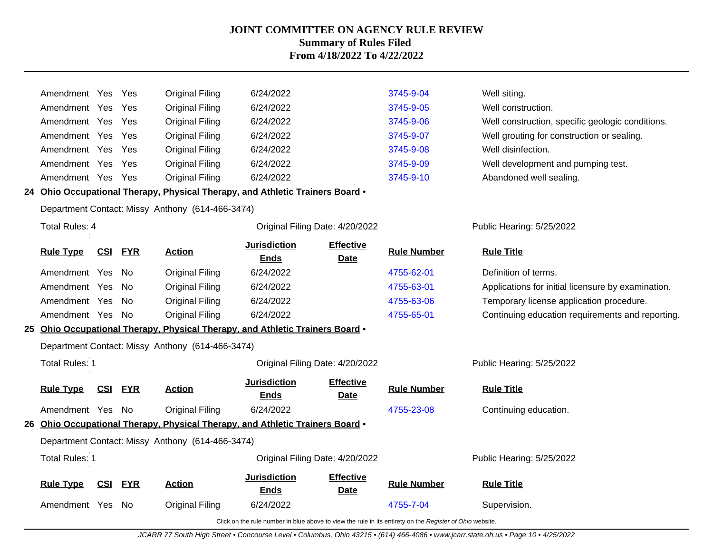| Amendment Yes         |            | Yes        | <b>Original Filing</b>                                                        | 6/24/2022                          |                                 | 3745-9-04          | Well siting.                                       |
|-----------------------|------------|------------|-------------------------------------------------------------------------------|------------------------------------|---------------------------------|--------------------|----------------------------------------------------|
| Amendment Yes         |            | Yes        | <b>Original Filing</b>                                                        | 6/24/2022                          |                                 | 3745-9-05          | Well construction.                                 |
| Amendment Yes         |            | Yes        | <b>Original Filing</b>                                                        | 6/24/2022                          |                                 | 3745-9-06          | Well construction, specific geologic conditions.   |
| Amendment Yes         |            | Yes        | <b>Original Filing</b>                                                        | 6/24/2022                          |                                 | 3745-9-07          | Well grouting for construction or sealing.         |
| Amendment Yes         |            | Yes        | <b>Original Filing</b>                                                        | 6/24/2022                          |                                 | 3745-9-08          | Well disinfection.                                 |
| Amendment Yes         |            | Yes        | <b>Original Filing</b>                                                        | 6/24/2022                          |                                 | 3745-9-09          | Well development and pumping test.                 |
| Amendment Yes         |            | Yes        | <b>Original Filing</b>                                                        | 6/24/2022                          |                                 | 3745-9-10          | Abandoned well sealing.                            |
|                       |            |            | 24 Ohio Occupational Therapy, Physical Therapy, and Athletic Trainers Board • |                                    |                                 |                    |                                                    |
|                       |            |            | Department Contact: Missy Anthony (614-466-3474)                              |                                    |                                 |                    |                                                    |
| Total Rules: 4        |            |            |                                                                               | Original Filing Date: 4/20/2022    |                                 |                    | Public Hearing: 5/25/2022                          |
| <b>Rule Type</b>      | <u>CSI</u> | <b>FYR</b> | <b>Action</b>                                                                 | <b>Jurisdiction</b><br><b>Ends</b> | <b>Effective</b><br><b>Date</b> | <b>Rule Number</b> | <b>Rule Title</b>                                  |
| Amendment Yes         |            | No.        | <b>Original Filing</b>                                                        | 6/24/2022                          |                                 | 4755-62-01         | Definition of terms.                               |
| Amendment Yes         |            | No.        | <b>Original Filing</b>                                                        | 6/24/2022                          |                                 | 4755-63-01         | Applications for initial licensure by examination. |
| Amendment Yes         |            | No.        | <b>Original Filing</b>                                                        | 6/24/2022                          |                                 | 4755-63-06         | Temporary license application procedure.           |
| Amendment Yes         |            | No.        | <b>Original Filing</b>                                                        | 6/24/2022                          |                                 | 4755-65-01         | Continuing education requirements and reporting.   |
|                       |            |            | 25 Ohio Occupational Therapy, Physical Therapy, and Athletic Trainers Board . |                                    |                                 |                    |                                                    |
|                       |            |            | Department Contact: Missy Anthony (614-466-3474)                              |                                    |                                 |                    |                                                    |
| Total Rules: 1        |            |            |                                                                               | Original Filing Date: 4/20/2022    |                                 |                    | Public Hearing: 5/25/2022                          |
| <b>Rule Type</b>      | <b>CSI</b> | <b>FYR</b> | <b>Action</b>                                                                 | <b>Jurisdiction</b><br><b>Ends</b> | <b>Effective</b><br><b>Date</b> | <b>Rule Number</b> | <b>Rule Title</b>                                  |
| Amendment Yes         |            | - No       | <b>Original Filing</b>                                                        | 6/24/2022                          |                                 | 4755-23-08         | Continuing education.                              |
|                       |            |            | 26 Ohio Occupational Therapy, Physical Therapy, and Athletic Trainers Board . |                                    |                                 |                    |                                                    |
|                       |            |            | Department Contact: Missy Anthony (614-466-3474)                              |                                    |                                 |                    |                                                    |
| <b>Total Rules: 1</b> |            |            |                                                                               | Original Filing Date: 4/20/2022    |                                 |                    | Public Hearing: 5/25/2022                          |
| <b>Rule Type</b>      | <b>CSI</b> | <b>FYR</b> | <b>Action</b>                                                                 | <b>Jurisdiction</b><br><b>Ends</b> | <b>Effective</b><br><b>Date</b> | <b>Rule Number</b> | <b>Rule Title</b>                                  |
| Amendment Yes         |            | -No        | <b>Original Filing</b>                                                        | 6/24/2022                          |                                 | 4755-7-04          | Supervision.                                       |

Click on the rule number in blue above to view the rule in its entirety on the Register of Ohio website.

JCARR 77 South High Street • Concourse Level • Columbus, Ohio 43215 • (614) 466-4086 • www.jcarr.state.oh.us • Page 10 • 4/25/2022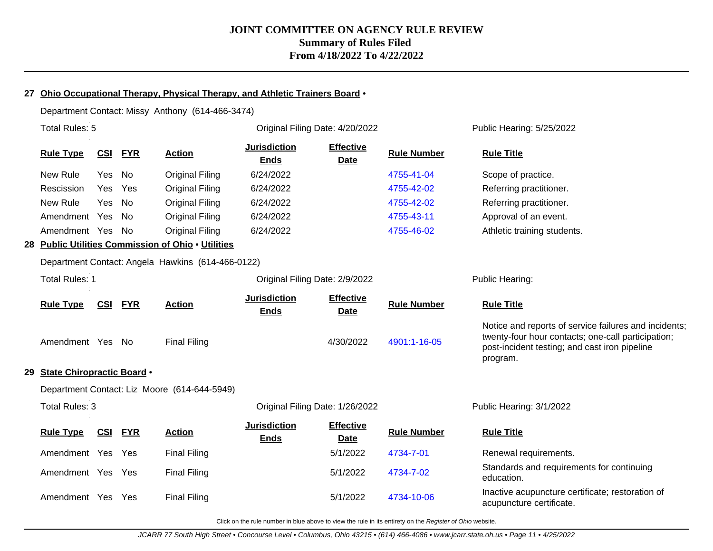### **27 Ohio Occupational Therapy, Physical Therapy, and Athletic Trainers Board** •

Department Contact: Missy Anthony (614-466-3474)

|     | Total Rules: 5                    |            |            |                                                    | Original Filing Date: 4/20/2022    |                                 |                    | Public Hearing: 5/25/2022                                                                                                                                                |  |
|-----|-----------------------------------|------------|------------|----------------------------------------------------|------------------------------------|---------------------------------|--------------------|--------------------------------------------------------------------------------------------------------------------------------------------------------------------------|--|
|     | <b>Rule Type</b>                  | CSI        | <b>FYR</b> | <b>Action</b>                                      | <b>Jurisdiction</b><br><b>Ends</b> | <b>Effective</b><br><b>Date</b> | <b>Rule Number</b> | <b>Rule Title</b>                                                                                                                                                        |  |
|     | New Rule                          | <b>Yes</b> | No         | <b>Original Filing</b>                             | 6/24/2022                          |                                 | 4755-41-04         | Scope of practice.                                                                                                                                                       |  |
|     | Rescission                        | <b>Yes</b> | Yes        | <b>Original Filing</b>                             | 6/24/2022                          |                                 | 4755-42-02         | Referring practitioner.                                                                                                                                                  |  |
|     | New Rule                          | Yes        | No         | <b>Original Filing</b>                             | 6/24/2022                          |                                 | 4755-42-02         | Referring practitioner.                                                                                                                                                  |  |
|     | Amendment Yes                     |            | No.        | <b>Original Filing</b>                             | 6/24/2022                          |                                 | 4755-43-11         | Approval of an event.                                                                                                                                                    |  |
|     | Amendment Yes                     |            | No.        | <b>Original Filing</b>                             | 6/24/2022                          |                                 | 4755-46-02         | Athletic training students.                                                                                                                                              |  |
|     |                                   |            |            | 28 Public Utilities Commission of Ohio . Utilities |                                    |                                 |                    |                                                                                                                                                                          |  |
|     |                                   |            |            | Department Contact: Angela Hawkins (614-466-0122)  |                                    |                                 |                    |                                                                                                                                                                          |  |
|     | <b>Total Rules: 1</b>             |            |            |                                                    | Original Filing Date: 2/9/2022     |                                 |                    | Public Hearing:                                                                                                                                                          |  |
|     | <b>Rule Type</b>                  | <b>CSI</b> | <b>FYR</b> | <b>Action</b>                                      | <b>Jurisdiction</b><br><b>Ends</b> | <b>Effective</b><br><b>Date</b> | <b>Rule Number</b> | <b>Rule Title</b>                                                                                                                                                        |  |
|     | Amendment Yes No                  |            |            | <b>Final Filing</b>                                |                                    | 4/30/2022                       | 4901:1-16-05       | Notice and reports of service failures and incidents;<br>twenty-four hour contacts; one-call participation;<br>post-incident testing; and cast iron pipeline<br>program. |  |
| 29. | <b>State Chiropractic Board •</b> |            |            |                                                    |                                    |                                 |                    |                                                                                                                                                                          |  |
|     |                                   |            |            | Department Contact: Liz Moore (614-644-5949)       |                                    |                                 |                    |                                                                                                                                                                          |  |
|     | Total Rules: 3                    |            |            |                                                    | Original Filing Date: 1/26/2022    |                                 |                    | Public Hearing: 3/1/2022                                                                                                                                                 |  |
|     | <b>Rule Type</b>                  | CSI        | <b>FYR</b> | <b>Action</b>                                      | <b>Jurisdiction</b><br><b>Ends</b> | <b>Effective</b><br><b>Date</b> | <b>Rule Number</b> | <b>Rule Title</b>                                                                                                                                                        |  |
|     | Amendment Yes                     |            | Yes        | <b>Final Filing</b>                                |                                    | 5/1/2022                        | 4734-7-01          | Renewal requirements.                                                                                                                                                    |  |
|     | Amendment Yes Yes                 |            |            | <b>Final Filing</b>                                |                                    | 5/1/2022                        | 4734-7-02          | Standards and requirements for continuing<br>education.                                                                                                                  |  |
|     | Amendment Yes Yes                 |            |            | <b>Final Filing</b>                                |                                    | 5/1/2022                        | 4734-10-06         | Inactive acupuncture certificate; restoration of<br>acupuncture certificate.                                                                                             |  |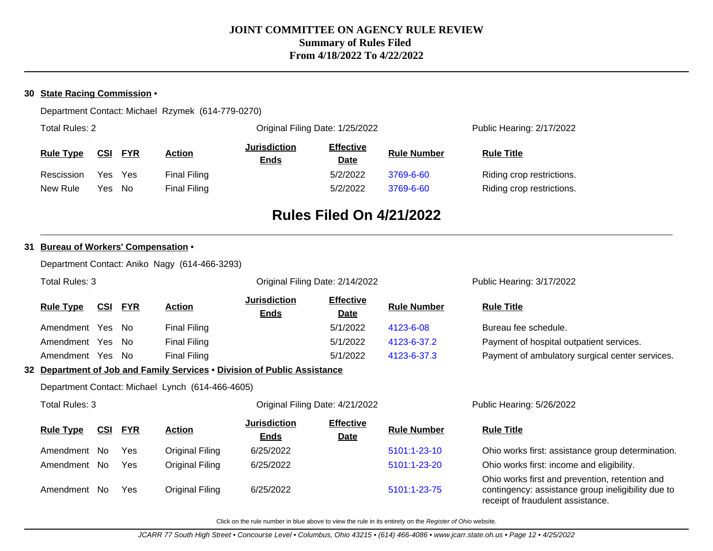### **30 State Racing Commission** •

Department Contact: Michael Rzymek (614-779-0270)

| <b>Total Rules: 2</b> |                          |              |                                    | Original Filing Date: 1/25/2022 | Public Hearing: 2/17/2022 |                           |  |
|-----------------------|--------------------------|--------------|------------------------------------|---------------------------------|---------------------------|---------------------------|--|
| <b>Rule Type</b>      | <b>FYR</b><br><u>CSI</u> | Action       | <b>Jurisdiction</b><br><b>Ends</b> | <b>Effective</b><br><b>Date</b> | <b>Rule Number</b>        | <b>Rule Title</b>         |  |
| Rescission            | Yes<br>Yes.              | Final Filing |                                    | 5/2/2022                        | 3769-6-60                 | Riding crop restrictions. |  |
| New Rule              | No.<br>Yes               | Final Filing |                                    | 5/2/2022                        | 3769-6-60                 | Riding crop restrictions. |  |

# **Rules Filed On 4/21/2022**

### **31 Bureau of Workers' Compensation** •

|                                                  |                                                                          |            |            | Department Contact: Aniko Nagy (614-466-3293) |                                    |                                 |                    |                                                                                                                                           |  |
|--------------------------------------------------|--------------------------------------------------------------------------|------------|------------|-----------------------------------------------|------------------------------------|---------------------------------|--------------------|-------------------------------------------------------------------------------------------------------------------------------------------|--|
|                                                  | Total Rules: 3                                                           |            |            |                                               |                                    | Original Filing Date: 2/14/2022 |                    | Public Hearing: 3/17/2022                                                                                                                 |  |
|                                                  | CSI<br><b>FYR</b><br><b>Action</b><br><b>Rule Type</b>                   |            |            | <b>Jurisdiction</b><br><b>Ends</b>            | <b>Effective</b><br><b>Date</b>    | <b>Rule Number</b>              | <b>Rule Title</b>  |                                                                                                                                           |  |
|                                                  | Amendment Yes                                                            |            | No.        | <b>Final Filing</b>                           |                                    | 5/1/2022                        | 4123-6-08          | Bureau fee schedule.                                                                                                                      |  |
|                                                  | Amendment Yes                                                            |            | No.        | Final Filing                                  |                                    | 5/1/2022                        | 4123-6-37.2        | Payment of hospital outpatient services.                                                                                                  |  |
|                                                  | Amendment Yes No                                                         |            |            | Final Filing                                  |                                    | 5/1/2022                        | 4123-6-37.3        | Payment of ambulatory surgical center services.                                                                                           |  |
|                                                  | 32 Department of Job and Family Services . Division of Public Assistance |            |            |                                               |                                    |                                 |                    |                                                                                                                                           |  |
| Department Contact: Michael Lynch (614-466-4605) |                                                                          |            |            |                                               |                                    |                                 |                    |                                                                                                                                           |  |
|                                                  | Total Rules: 3                                                           |            |            |                                               | Original Filing Date: 4/21/2022    |                                 |                    | Public Hearing: 5/26/2022                                                                                                                 |  |
|                                                  | <b>Rule Type</b>                                                         | <u>CSI</u> | <b>FYR</b> | <b>Action</b>                                 | <b>Jurisdiction</b><br><u>Ends</u> | <b>Effective</b><br><u>Date</u> | <b>Rule Number</b> | <b>Rule Title</b>                                                                                                                         |  |
|                                                  | Amendment No                                                             |            | Yes        | Original Filing                               | 6/25/2022                          |                                 | 5101:1-23-10       | Ohio works first: assistance group determination.                                                                                         |  |
|                                                  | Amendment No                                                             |            | Yes        | Original Filing                               | 6/25/2022                          |                                 | 5101:1-23-20       | Ohio works first: income and eligibility.                                                                                                 |  |
|                                                  | Amendment No                                                             |            | Yes        | Original Filing                               | 6/25/2022                          |                                 | 5101:1-23-75       | Ohio works first and prevention, retention and<br>contingency: assistance group ineligibility due to<br>receipt of fraudulent assistance. |  |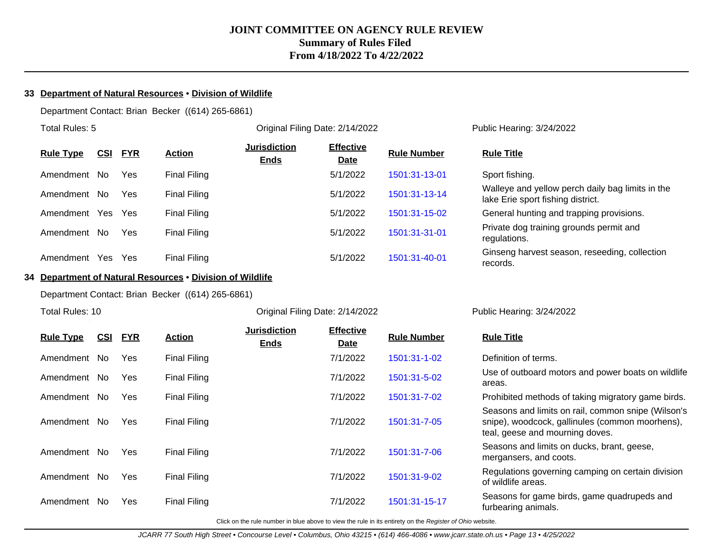#### **33 Department of Natural Resources** • **Division of Wildlife**

Department Contact: Brian Becker ((614) 265-6861)

| Total Rules: 5                               |                     | Original Filing Date: 2/14/2022    | Public Hearing: 3/24/2022       |                    |                                                       |
|----------------------------------------------|---------------------|------------------------------------|---------------------------------|--------------------|-------------------------------------------------------|
| <b>FYR</b><br><b>Rule Type</b><br><u>CSI</u> | <b>Action</b>       | <b>Jurisdiction</b><br><b>Ends</b> | <b>Effective</b><br><b>Date</b> | <b>Rule Number</b> | <b>Rule Title</b>                                     |
| Yes<br>Amendment<br>No.                      | Final Filing        |                                    | 5/1/2022                        | 1501:31-13-01      | Sport fishing.                                        |
| Amendment<br>Yes<br>No.                      | <b>Final Filing</b> |                                    | 5/1/2022                        | 1501:31-13-14      | Walleye and yellow perd<br>lake Erie sport fishing di |
| Amendment<br>Yes.<br>Yes                     | <b>Final Filing</b> |                                    | 5/1/2022                        | 1501:31-15-02      | General hunting and tra                               |
| Yes<br>Amendment<br>No.                      | Final Filing        |                                    | 5/1/2022                        | 1501:31-31-01      | Private dog training grou<br>regulations.             |
| Amendment<br>Yes<br>Yes                      | Final Filing        |                                    | 5/1/2022                        | 1501:31-40-01      | Ginseng harvest seasor<br>racorde                     |

#### **34 Department of Natural Resources** • **Division of Wildlife**

Department Contact: Brian Becker ((614) 265-6861)

Total Rules: 10

#### Original Filing Date: 2/14/2022 Public Hearing: 3/24/2022

records.

lake Erie sport fishing district.

Walleye and yellow perch daily bag limits in the

Ginseng harvest season, reseeding, collection

General hunting and trapping provisions. Private dog training grounds permit and

| <b>Rule Type</b> | CSI | <u>FYR</u> | <b>Action</b>       | <b>Jurisdiction</b><br><b>Ends</b> | <b>Effective</b><br><b>Date</b> | <b>Rule Number</b> | <b>Rule Title</b>                                                                                                                        |
|------------------|-----|------------|---------------------|------------------------------------|---------------------------------|--------------------|------------------------------------------------------------------------------------------------------------------------------------------|
| Amendment No     |     | Yes        | <b>Final Filing</b> |                                    | 7/1/2022                        | 1501:31-1-02       | Definition of terms.                                                                                                                     |
| Amendment        | No. | Yes        | <b>Final Filing</b> |                                    | 7/1/2022                        | 1501:31-5-02       | Use of outboard motors and power boats on wildlife<br>areas.                                                                             |
| Amendment        | No. | Yes        | <b>Final Filing</b> |                                    | 7/1/2022                        | 1501:31-7-02       | Prohibited methods of taking migratory game birds.                                                                                       |
| Amendment        | No. | Yes        | <b>Final Filing</b> |                                    | 7/1/2022                        | 1501:31-7-05       | Seasons and limits on rail, common snipe (Wilson's<br>snipe), woodcock, gallinules (common moorhens),<br>teal, geese and mourning doves. |
| Amendment        | No. | Yes        | <b>Final Filing</b> |                                    | 7/1/2022                        | 1501:31-7-06       | Seasons and limits on ducks, brant, geese,<br>mergansers, and coots.                                                                     |
| Amendment        | No. | Yes        | <b>Final Filing</b> |                                    | 7/1/2022                        | 1501:31-9-02       | Regulations governing camping on certain division<br>of wildlife areas.                                                                  |
| Amendment        | No. | Yes        | <b>Final Filing</b> |                                    | 7/1/2022                        | 1501:31-15-17      | Seasons for game birds, game quadrupeds and<br>furbearing animals.                                                                       |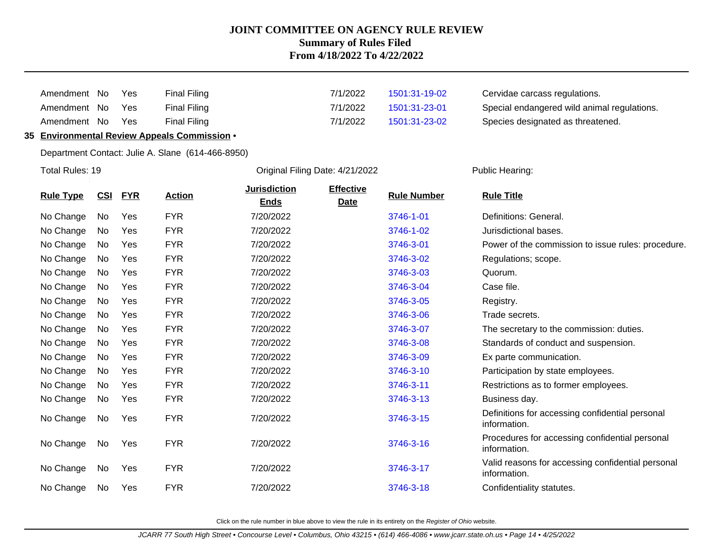| Amendment No | Yes        | <b>Final Filing</b> |
|--------------|------------|---------------------|
| Amendment No | <b>Yes</b> | <b>Final Filing</b> |
| Amendment No | Yes.       | <b>Final Filing</b> |

#### **35 Environmental Review Appeals Commission** •

Department Contact: Julie A. Slane (614-466-8950)

Total Rules: 19 **Driginal Filing Date: 4/21/2022** Public Hearing:

 $7/1/2022$  [1501:31-19-02](http://www.registerofohio.state.oh.us/jsps/publicdisplayrules/processPublicDisplayRules.jsp?entered_rule_no=1501:31-19-02&doWhat=GETBYRULENUM&raID=0) Cervidae carcass regulations. 7/1/2022 [1501:31-23-01](http://www.registerofohio.state.oh.us/jsps/publicdisplayrules/processPublicDisplayRules.jsp?entered_rule_no=1501:31-23-01&doWhat=GETBYRULENUM&raID=0) Special endangered wild animal regulations.  $7/1/2022$  [1501:31-23-02](http://www.registerofohio.state.oh.us/jsps/publicdisplayrules/processPublicDisplayRules.jsp?entered_rule_no=1501:31-23-02&doWhat=GETBYRULENUM&raID=0) Species designated as threatened.

|                  |     |            |               | <b>Jurisdiction</b> | <b>Effective</b> |                    |                                                                   |
|------------------|-----|------------|---------------|---------------------|------------------|--------------------|-------------------------------------------------------------------|
| <b>Rule Type</b> | CSI | <b>FYR</b> | <b>Action</b> | <b>Ends</b>         | <b>Date</b>      | <b>Rule Number</b> | <b>Rule Title</b>                                                 |
| No Change        | No  | Yes        | <b>FYR</b>    | 7/20/2022           |                  | 3746-1-01          | Definitions: General.                                             |
| No Change        | No  | Yes        | <b>FYR</b>    | 7/20/2022           |                  | 3746-1-02          | Jurisdictional bases.                                             |
| No Change        | No  | Yes        | <b>FYR</b>    | 7/20/2022           |                  | 3746-3-01          | Power of the commission to issue rules: procedure.                |
| No Change        | No  | Yes        | <b>FYR</b>    | 7/20/2022           |                  | 3746-3-02          | Regulations; scope.                                               |
| No Change        | No  | Yes        | <b>FYR</b>    | 7/20/2022           |                  | 3746-3-03          | Quorum.                                                           |
| No Change        | No  | Yes        | <b>FYR</b>    | 7/20/2022           |                  | 3746-3-04          | Case file.                                                        |
| No Change        | No  | Yes        | <b>FYR</b>    | 7/20/2022           |                  | 3746-3-05          | Registry.                                                         |
| No Change        | No  | Yes        | <b>FYR</b>    | 7/20/2022           |                  | 3746-3-06          | Trade secrets.                                                    |
| No Change        | No  | Yes        | <b>FYR</b>    | 7/20/2022           |                  | 3746-3-07          | The secretary to the commission: duties.                          |
| No Change        | No  | Yes        | <b>FYR</b>    | 7/20/2022           |                  | 3746-3-08          | Standards of conduct and suspension.                              |
| No Change        | No  | Yes        | <b>FYR</b>    | 7/20/2022           |                  | 3746-3-09          | Ex parte communication.                                           |
| No Change        | No  | Yes        | <b>FYR</b>    | 7/20/2022           |                  | 3746-3-10          | Participation by state employees.                                 |
| No Change        | No. | Yes        | <b>FYR</b>    | 7/20/2022           |                  | 3746-3-11          | Restrictions as to former employees.                              |
| No Change        | No  | Yes        | <b>FYR</b>    | 7/20/2022           |                  | 3746-3-13          | Business day.                                                     |
| No Change        | No  | <b>Yes</b> | <b>FYR</b>    | 7/20/2022           |                  | 3746-3-15          | Definitions for accessing confidential personal<br>information.   |
| No Change        | No  | Yes        | <b>FYR</b>    | 7/20/2022           |                  | 3746-3-16          | Procedures for accessing confidential personal<br>information.    |
| No Change        | No  | Yes        | <b>FYR</b>    | 7/20/2022           |                  | 3746-3-17          | Valid reasons for accessing confidential personal<br>information. |
| No Change        | No  | Yes        | <b>FYR</b>    | 7/20/2022           |                  | 3746-3-18          | Confidentiality statutes.                                         |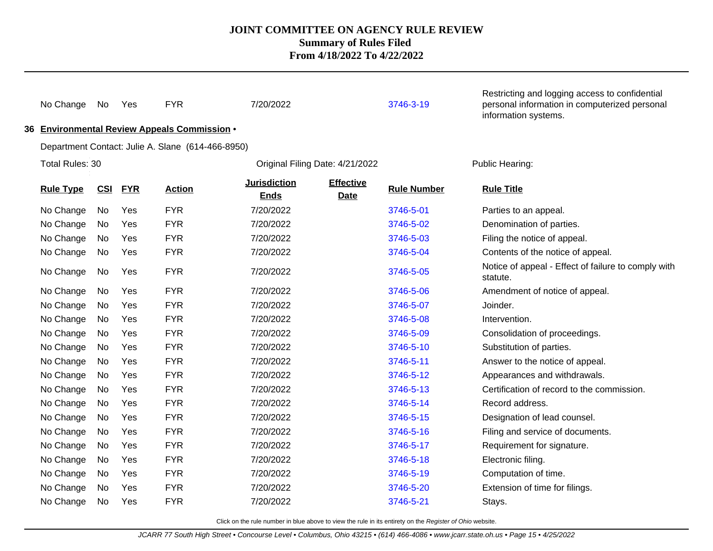| No Change        | No  | Yes        | <b>FYR</b>                                        | 7/20/2022                          |                                 | 3746-3-19          | Restricting and logging access to confidential<br>personal information in computerized personal<br>information systems. |
|------------------|-----|------------|---------------------------------------------------|------------------------------------|---------------------------------|--------------------|-------------------------------------------------------------------------------------------------------------------------|
|                  |     |            | 36 Environmental Review Appeals Commission .      |                                    |                                 |                    |                                                                                                                         |
|                  |     |            | Department Contact: Julie A. Slane (614-466-8950) |                                    |                                 |                    |                                                                                                                         |
| Total Rules: 30  |     |            |                                                   | Original Filing Date: 4/21/2022    |                                 |                    | Public Hearing:                                                                                                         |
| <b>Rule Type</b> | CSI | <b>FYR</b> | <b>Action</b>                                     | <b>Jurisdiction</b><br><b>Ends</b> | <b>Effective</b><br><b>Date</b> | <b>Rule Number</b> | <b>Rule Title</b>                                                                                                       |
| No Change        | No  | Yes        | <b>FYR</b>                                        | 7/20/2022                          |                                 | 3746-5-01          | Parties to an appeal.                                                                                                   |
| No Change        | No  | Yes        | <b>FYR</b>                                        | 7/20/2022                          |                                 | 3746-5-02          | Denomination of parties.                                                                                                |
| No Change        | No  | Yes        | <b>FYR</b>                                        | 7/20/2022                          |                                 | 3746-5-03          | Filing the notice of appeal.                                                                                            |
| No Change        | No  | Yes        | <b>FYR</b>                                        | 7/20/2022                          |                                 | 3746-5-04          | Contents of the notice of appeal.                                                                                       |
| No Change        | No  | Yes        | <b>FYR</b>                                        | 7/20/2022                          |                                 | 3746-5-05          | Notice of appeal - Effect of failure to comply with<br>statute.                                                         |
| No Change        | No  | Yes        | <b>FYR</b>                                        | 7/20/2022                          |                                 | 3746-5-06          | Amendment of notice of appeal.                                                                                          |
| No Change        | No  | Yes        | <b>FYR</b>                                        | 7/20/2022                          |                                 | 3746-5-07          | Joinder.                                                                                                                |
| No Change        | No  | Yes        | <b>FYR</b>                                        | 7/20/2022                          |                                 | 3746-5-08          | Intervention.                                                                                                           |
| No Change        | No  | Yes        | <b>FYR</b>                                        | 7/20/2022                          |                                 | 3746-5-09          | Consolidation of proceedings.                                                                                           |
| No Change        | No  | Yes        | <b>FYR</b>                                        | 7/20/2022                          |                                 | 3746-5-10          | Substitution of parties.                                                                                                |
| No Change        | No  | Yes        | <b>FYR</b>                                        | 7/20/2022                          |                                 | 3746-5-11          | Answer to the notice of appeal.                                                                                         |
| No Change        | No  | Yes        | <b>FYR</b>                                        | 7/20/2022                          |                                 | 3746-5-12          | Appearances and withdrawals.                                                                                            |
| No Change        | No  | Yes        | <b>FYR</b>                                        | 7/20/2022                          |                                 | 3746-5-13          | Certification of record to the commission.                                                                              |
| No Change        | No  | Yes        | <b>FYR</b>                                        | 7/20/2022                          |                                 | 3746-5-14          | Record address.                                                                                                         |
| No Change        | No  | Yes        | <b>FYR</b>                                        | 7/20/2022                          |                                 | 3746-5-15          | Designation of lead counsel.                                                                                            |
| No Change        | No  | Yes        | <b>FYR</b>                                        | 7/20/2022                          |                                 | 3746-5-16          | Filing and service of documents.                                                                                        |
| No Change        | No  | Yes        | <b>FYR</b>                                        | 7/20/2022                          |                                 | 3746-5-17          | Requirement for signature.                                                                                              |
| No Change        | No  | Yes        | <b>FYR</b>                                        | 7/20/2022                          |                                 | 3746-5-18          | Electronic filing.                                                                                                      |
| No Change        | No  | Yes        | <b>FYR</b>                                        | 7/20/2022                          |                                 | 3746-5-19          | Computation of time.                                                                                                    |
| No Change        | No  | Yes        | <b>FYR</b>                                        | 7/20/2022                          |                                 | 3746-5-20          | Extension of time for filings.                                                                                          |
| No Change        | No  | Yes        | <b>FYR</b>                                        | 7/20/2022                          |                                 | 3746-5-21          | Stays.                                                                                                                  |
|                  |     |            |                                                   |                                    |                                 |                    |                                                                                                                         |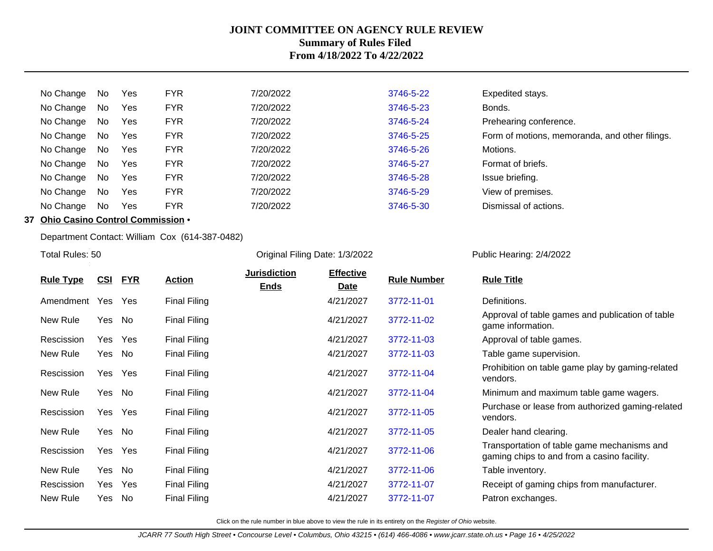| No Change | No | Yes        | <b>FYR</b> | 7/20/2022 | 3746-5-22 | Expedited stays.                               |
|-----------|----|------------|------------|-----------|-----------|------------------------------------------------|
| No Change | No | Yes        | <b>FYR</b> | 7/20/2022 | 3746-5-23 | Bonds.                                         |
| No Change | No | Yes        | <b>FYR</b> | 7/20/2022 | 3746-5-24 | Prehearing conference.                         |
| No Change | No | Yes        | <b>FYR</b> | 7/20/2022 | 3746-5-25 | Form of motions, memoranda, and other filings. |
| No Change | No | <b>Yes</b> | <b>FYR</b> | 7/20/2022 | 3746-5-26 | Motions.                                       |
| No Change | No | <b>Yes</b> | <b>FYR</b> | 7/20/2022 | 3746-5-27 | Format of briefs.                              |
| No Change | No | Yes        | <b>FYR</b> | 7/20/2022 | 3746-5-28 | Issue briefing.                                |
| No Change | No | Yes        | <b>FYR</b> | 7/20/2022 | 3746-5-29 | View of premises.                              |
| No Change | No | Yes        | <b>FYR</b> | 7/20/2022 | 3746-5-30 | Dismissal of actions.                          |
|           |    |            |            |           |           |                                                |

# **37 Ohio Casino Control Commission** •

Total Rules: 50

Department Contact: William Cox (614-387-0482)

Original Filing Date: 1/3/2022 Public Hearing: 2/4/2022

|                  | <u>CSI</u> | <u>FYR</u> | <b>Action</b>       | <b>Jurisdiction</b> | <b>Effective</b> | <b>Rule Number</b> | <b>Rule Title</b>                                                                          |
|------------------|------------|------------|---------------------|---------------------|------------------|--------------------|--------------------------------------------------------------------------------------------|
| <b>Rule Type</b> |            |            |                     | <b>Ends</b>         | Date             |                    |                                                                                            |
| Amendment        | Yes        | Yes        | <b>Final Filing</b> |                     | 4/21/2027        | 3772-11-01         | Definitions.                                                                               |
| New Rule         | Yes        | No         | <b>Final Filing</b> |                     | 4/21/2027        | 3772-11-02         | Approval of table games and publication of table<br>game information.                      |
| Rescission       | Yes        | Yes        | <b>Final Filing</b> |                     | 4/21/2027        | 3772-11-03         | Approval of table games.                                                                   |
| New Rule         | Yes        | No         | <b>Final Filing</b> |                     | 4/21/2027        | 3772-11-03         | Table game supervision.                                                                    |
| Rescission       | Yes        | Yes        | <b>Final Filing</b> |                     | 4/21/2027        | 3772-11-04         | Prohibition on table game play by gaming-related<br>vendors.                               |
| New Rule         | Yes        | No         | <b>Final Filing</b> |                     | 4/21/2027        | 3772-11-04         | Minimum and maximum table game wagers.                                                     |
| Rescission       |            | Yes Yes    | <b>Final Filing</b> |                     | 4/21/2027        | 3772-11-05         | Purchase or lease from authorized gaming-related<br>vendors.                               |
| New Rule         | Yes        | No         | <b>Final Filing</b> |                     | 4/21/2027        | 3772-11-05         | Dealer hand clearing.                                                                      |
| Rescission       | Yes        | Yes        | <b>Final Filing</b> |                     | 4/21/2027        | 3772-11-06         | Transportation of table game mechanisms and<br>gaming chips to and from a casino facility. |
| New Rule         | Yes        | No         | <b>Final Filing</b> |                     | 4/21/2027        | 3772-11-06         | Table inventory.                                                                           |
| Rescission       | Yes        | Yes        | <b>Final Filing</b> |                     | 4/21/2027        | 3772-11-07         | Receipt of gaming chips from manufacturer.                                                 |
| New Rule         | Yes        | No         | Final Filing        |                     | 4/21/2027        | 3772-11-07         | Patron exchanges.                                                                          |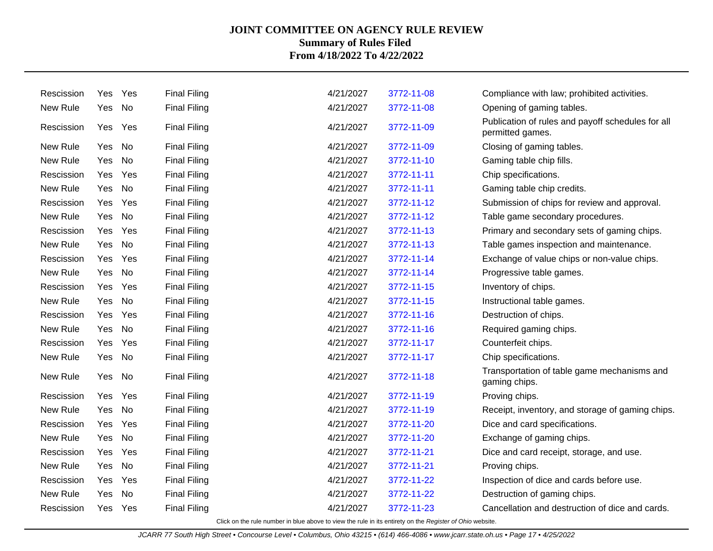| Rescission | Yes    | Yes     | <b>Final Filing</b> | 4/21/2027 | 3772-11-08 | Compliance with law; prohibited activities.                           |
|------------|--------|---------|---------------------|-----------|------------|-----------------------------------------------------------------------|
| New Rule   | Yes    | No      | <b>Final Filing</b> | 4/21/2027 | 3772-11-08 | Opening of gaming tables.                                             |
| Rescission | Yes    | Yes     | <b>Final Filing</b> | 4/21/2027 | 3772-11-09 | Publication of rules and payoff schedules for all<br>permitted games. |
| New Rule   | Yes No |         | <b>Final Filing</b> | 4/21/2027 | 3772-11-09 | Closing of gaming tables.                                             |
| New Rule   | Yes    | No      | <b>Final Filing</b> | 4/21/2027 | 3772-11-10 | Gaming table chip fills.                                              |
| Rescission | Yes.   | Yes     | <b>Final Filing</b> | 4/21/2027 | 3772-11-11 | Chip specifications.                                                  |
| New Rule   | Yes    | No      | <b>Final Filing</b> | 4/21/2027 | 3772-11-11 | Gaming table chip credits.                                            |
| Rescission | Yes    | Yes     | <b>Final Filing</b> | 4/21/2027 | 3772-11-12 | Submission of chips for review and approval.                          |
| New Rule   | Yes No |         | <b>Final Filing</b> | 4/21/2027 | 3772-11-12 | Table game secondary procedures.                                      |
| Rescission | Yes    | Yes     | <b>Final Filing</b> | 4/21/2027 | 3772-11-13 | Primary and secondary sets of gaming chips.                           |
| New Rule   | Yes    | No      | <b>Final Filing</b> | 4/21/2027 | 3772-11-13 | Table games inspection and maintenance.                               |
| Rescission | Yes    | Yes     | <b>Final Filing</b> | 4/21/2027 | 3772-11-14 | Exchange of value chips or non-value chips.                           |
| New Rule   | Yes    | No      | <b>Final Filing</b> | 4/21/2027 | 3772-11-14 | Progressive table games.                                              |
| Rescission |        | Yes Yes | <b>Final Filing</b> | 4/21/2027 | 3772-11-15 | Inventory of chips.                                                   |
| New Rule   | Yes    | No      | <b>Final Filing</b> | 4/21/2027 | 3772-11-15 | Instructional table games.                                            |
| Rescission | Yes    | Yes     | <b>Final Filing</b> | 4/21/2027 | 3772-11-16 | Destruction of chips.                                                 |
| New Rule   | Yes    | No      | <b>Final Filing</b> | 4/21/2027 | 3772-11-16 | Required gaming chips.                                                |
| Rescission | Yes    | Yes     | <b>Final Filing</b> | 4/21/2027 | 3772-11-17 | Counterfeit chips.                                                    |
| New Rule   | Yes No |         | <b>Final Filing</b> | 4/21/2027 | 3772-11-17 | Chip specifications.                                                  |
| New Rule   | Yes    | No      | <b>Final Filing</b> | 4/21/2027 | 3772-11-18 | Transportation of table game mechanisms and<br>gaming chips.          |
| Rescission | Yes    | Yes     | <b>Final Filing</b> | 4/21/2027 | 3772-11-19 | Proving chips.                                                        |
| New Rule   | Yes    | No      | <b>Final Filing</b> | 4/21/2027 | 3772-11-19 | Receipt, inventory, and storage of gaming chips.                      |
| Rescission | Yes    | Yes     | <b>Final Filing</b> | 4/21/2027 | 3772-11-20 | Dice and card specifications.                                         |
| New Rule   | Yes No |         | <b>Final Filing</b> | 4/21/2027 | 3772-11-20 | Exchange of gaming chips.                                             |
| Rescission | Yes    | Yes     | <b>Final Filing</b> | 4/21/2027 | 3772-11-21 | Dice and card receipt, storage, and use.                              |
| New Rule   | Yes    | No      | <b>Final Filing</b> | 4/21/2027 | 3772-11-21 | Proving chips.                                                        |
| Rescission | Yes    | Yes     | <b>Final Filing</b> | 4/21/2027 | 3772-11-22 | Inspection of dice and cards before use.                              |
| New Rule   | Yes    | No      | <b>Final Filing</b> | 4/21/2027 | 3772-11-22 | Destruction of gaming chips.                                          |
| Rescission |        | Yes Yes | <b>Final Filing</b> | 4/21/2027 | 3772-11-23 | Cancellation and destruction of dice and cards.                       |
|            |        |         |                     |           |            |                                                                       |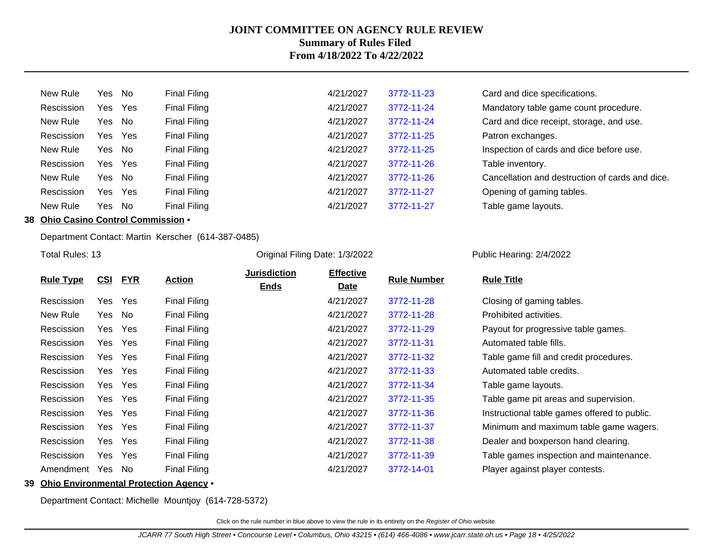| New Rule   | Yes No |     | Final Filing | 4/21/2027 | 3772-11-23 | Card and dice specifications.                   |
|------------|--------|-----|--------------|-----------|------------|-------------------------------------------------|
| Rescission | Yes    | Yes | Final Filing | 4/21/2027 | 3772-11-24 | Mandatory table game count procedure.           |
| New Rule   | Yes    | No  | Final Filing | 4/21/2027 | 3772-11-24 | Card and dice receipt, storage, and use.        |
| Rescission | Yes    | Yes | Final Filing | 4/21/2027 | 3772-11-25 | Patron exchanges.                               |
| New Rule   | Yes    | No  | Final Filing | 4/21/2027 | 3772-11-25 | Inspection of cards and dice before use.        |
| Rescission | Yes    | Yes | Final Filing | 4/21/2027 | 3772-11-26 | Table inventory.                                |
| New Rule   | Yes    | No  | Final Filing | 4/21/2027 | 3772-11-26 | Cancellation and destruction of cards and dice. |
| Rescission | Yes    | Yes | Final Filing | 4/21/2027 | 3772-11-27 | Opening of gaming tables.                       |
| New Rule   | Yes    | No  | Final Filing | 4/21/2027 | 3772-11-27 | Table game layouts.                             |
|            |        |     |              |           |            |                                                 |

## **38 Ohio Casino Control Commission** •

Department Contact: Martin Kerscher (614-387-0485)

Total Rules: 13

Original Filing Date: 1/3/2022 Public Hearing: 2/4/2022

|                  |            |            |                     | <b>Jurisdiction</b> | <b>Effective</b> |                    |                                              |
|------------------|------------|------------|---------------------|---------------------|------------------|--------------------|----------------------------------------------|
| <b>Rule Type</b> | <u>CSI</u> | <u>FYR</u> | <b>Action</b>       | <b>Ends</b>         | <u>Date</u>      | <b>Rule Number</b> | <b>Rule Title</b>                            |
| Rescission       | Yes        | Yes        | <b>Final Filing</b> |                     | 4/21/2027        | 3772-11-28         | Closing of gaming tables.                    |
| New Rule         | Yes No     |            | <b>Final Filing</b> |                     | 4/21/2027        | 3772-11-28         | Prohibited activities.                       |
| Rescission       | Yes        | Yes        | <b>Final Filing</b> |                     | 4/21/2027        | 3772-11-29         | Payout for progressive table games.          |
| Rescission       | Yes        | Yes        | <b>Final Filing</b> |                     | 4/21/2027        | 3772-11-31         | Automated table fills.                       |
| Rescission       | Yes        | Yes        | <b>Final Filing</b> |                     | 4/21/2027        | 3772-11-32         | Table game fill and credit procedures.       |
| Rescission       | Yes        | Yes        | <b>Final Filing</b> |                     | 4/21/2027        | 3772-11-33         | Automated table credits.                     |
| Rescission       | Yes        | Yes        | <b>Final Filing</b> |                     | 4/21/2027        | 3772-11-34         | Table game layouts.                          |
| Rescission       | Yes        | Yes        | <b>Final Filing</b> |                     | 4/21/2027        | 3772-11-35         | Table game pit areas and supervision.        |
| Rescission       | Yes        | Yes        | <b>Final Filing</b> |                     | 4/21/2027        | 3772-11-36         | Instructional table games offered to public. |
| Rescission       | Yes        | Yes        | <b>Final Filing</b> |                     | 4/21/2027        | 3772-11-37         | Minimum and maximum table game wagers.       |
| Rescission       | Yes        | Yes        | <b>Final Filing</b> |                     | 4/21/2027        | 3772-11-38         | Dealer and boxperson hand clearing.          |
| Rescission       | Yes        | Yes        | <b>Final Filing</b> |                     | 4/21/2027        | 3772-11-39         | Table games inspection and maintenance.      |
| Amendment        | Yes        | No.        | Final Filing        |                     | 4/21/2027        | 3772-14-01         | Player against player contests.              |
|                  |            |            |                     |                     |                  |                    |                                              |

#### **39 Ohio Environmental Protection Agency** •

Department Contact: Michelle Mountjoy (614-728-5372)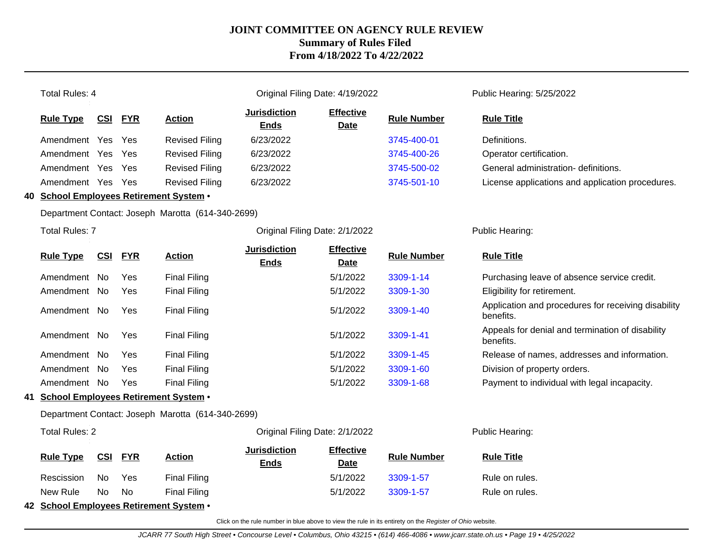| <b>Total Rules: 4</b>                             |                                |            |                                                   |                                    | Original Filing Date: 4/19/2022 |                    | Public Hearing: 5/25/2022                                        |
|---------------------------------------------------|--------------------------------|------------|---------------------------------------------------|------------------------------------|---------------------------------|--------------------|------------------------------------------------------------------|
| <b>Rule Type</b>                                  | <b>CSI</b>                     | <b>FYR</b> | <b>Action</b>                                     | <b>Jurisdiction</b><br><b>Ends</b> | <b>Effective</b><br><b>Date</b> | <b>Rule Number</b> | <b>Rule Title</b>                                                |
| Amendment Yes                                     |                                | Yes        | <b>Revised Filing</b>                             | 6/23/2022                          |                                 | 3745-400-01        | Definitions.                                                     |
| Amendment Yes                                     |                                | Yes        | <b>Revised Filing</b>                             | 6/23/2022                          |                                 | 3745-400-26        | Operator certification.                                          |
| Amendment Yes                                     |                                | Yes        | <b>Revised Filing</b>                             | 6/23/2022                          |                                 | 3745-500-02        | General administration- definitions.                             |
| Amendment Yes                                     |                                | Yes        | <b>Revised Filing</b>                             | 6/23/2022                          |                                 | 3745-501-10        | License applications and application procedures.                 |
| 40 School Employees Retirement System .           |                                |            |                                                   |                                    |                                 |                    |                                                                  |
|                                                   |                                |            | Department Contact: Joseph Marotta (614-340-2699) |                                    |                                 |                    |                                                                  |
| <b>Total Rules: 7</b>                             |                                |            |                                                   | Original Filing Date: 2/1/2022     |                                 |                    | Public Hearing:                                                  |
| <b>Rule Type</b>                                  | <b>CSI</b>                     | <b>FYR</b> | <b>Action</b>                                     | <b>Jurisdiction</b><br><b>Ends</b> | <b>Effective</b><br><b>Date</b> | <b>Rule Number</b> | <b>Rule Title</b>                                                |
| Amendment No                                      |                                | Yes        | <b>Final Filing</b>                               |                                    | 5/1/2022                        | 3309-1-14          | Purchasing leave of absence service credit.                      |
| Amendment No                                      |                                | Yes        | <b>Final Filing</b>                               |                                    | 5/1/2022                        | 3309-1-30          | Eligibility for retirement.                                      |
| Amendment No                                      |                                | Yes        | <b>Final Filing</b>                               |                                    | 5/1/2022                        | 3309-1-40          | Application and procedures for receiving disability<br>benefits. |
| Amendment No                                      |                                | Yes        | <b>Final Filing</b>                               |                                    | 5/1/2022                        | 3309-1-41          | Appeals for denial and termination of disability<br>benefits.    |
| Amendment No                                      |                                | Yes        | <b>Final Filing</b>                               |                                    | 5/1/2022                        | 3309-1-45          | Release of names, addresses and information.                     |
| Amendment No                                      |                                | Yes        | <b>Final Filing</b>                               |                                    | 5/1/2022                        | 3309-1-60          | Division of property orders.                                     |
| Amendment No                                      |                                | Yes        | <b>Final Filing</b>                               |                                    | 5/1/2022                        | 3309-1-68          | Payment to individual with legal incapacity.                     |
|                                                   |                                |            | 41 School Employees Retirement System .           |                                    |                                 |                    |                                                                  |
| Department Contact: Joseph Marotta (614-340-2699) |                                |            |                                                   |                                    |                                 |                    |                                                                  |
| <b>Total Rules: 2</b>                             | Original Filing Date: 2/1/2022 |            |                                                   | Public Hearing:                    |                                 |                    |                                                                  |
| <b>Rule Type</b>                                  | CSI                            | <b>FYR</b> | <b>Action</b>                                     | <b>Jurisdiction</b><br><b>Ends</b> | <b>Effective</b><br><b>Date</b> | <b>Rule Number</b> | <b>Rule Title</b>                                                |
| Rescission                                        | No.                            | Yes        | <b>Final Filing</b>                               |                                    | 5/1/2022                        | 3309-1-57          | Rule on rules.                                                   |
| New Rule                                          | No.                            | <b>No</b>  | <b>Final Filing</b>                               |                                    | 5/1/2022                        | 3309-1-57          | Rule on rules.                                                   |
|                                                   |                                |            | 42 School Employees Retirement System .           |                                    |                                 |                    |                                                                  |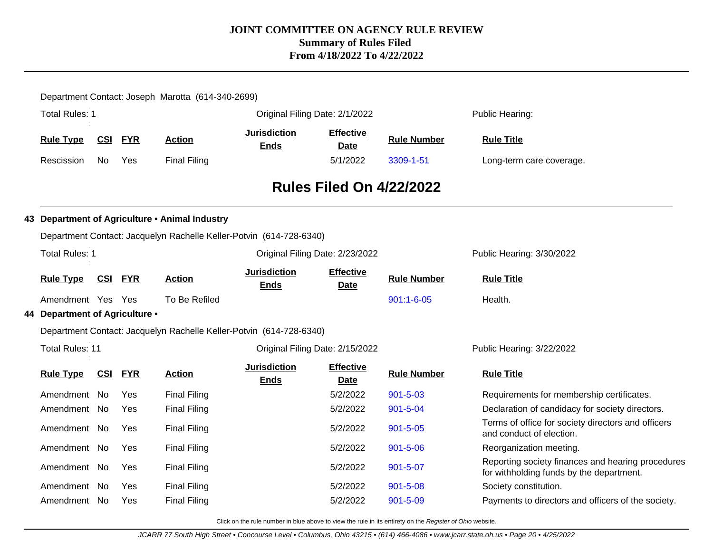| Department Contact: Joseph Marotta (614-340-2699) |                                 |            |            |                                                                     |                                    |                                 |                    |                                                                                               |  |  |
|---------------------------------------------------|---------------------------------|------------|------------|---------------------------------------------------------------------|------------------------------------|---------------------------------|--------------------|-----------------------------------------------------------------------------------------------|--|--|
|                                                   | Total Rules: 1                  |            |            |                                                                     |                                    | Original Filing Date: 2/1/2022  |                    | Public Hearing:                                                                               |  |  |
|                                                   | <b>Rule Type</b>                | <u>CSI</u> | <b>FYR</b> | <b>Action</b>                                                       | <b>Jurisdiction</b><br><b>Ends</b> | <b>Effective</b><br><b>Date</b> | <b>Rule Number</b> | <b>Rule Title</b>                                                                             |  |  |
|                                                   | Rescission                      | No.        | Yes        | <b>Final Filing</b>                                                 |                                    | 5/1/2022                        | 3309-1-51          | Long-term care coverage.                                                                      |  |  |
|                                                   | <b>Rules Filed On 4/22/2022</b> |            |            |                                                                     |                                    |                                 |                    |                                                                                               |  |  |
|                                                   |                                 |            |            | 43 Department of Agriculture . Animal Industry                      |                                    |                                 |                    |                                                                                               |  |  |
|                                                   |                                 |            |            | Department Contact: Jacquelyn Rachelle Keller-Potvin (614-728-6340) |                                    |                                 |                    |                                                                                               |  |  |
|                                                   | <b>Total Rules: 1</b>           |            |            |                                                                     |                                    | Original Filing Date: 2/23/2022 |                    | Public Hearing: 3/30/2022                                                                     |  |  |
|                                                   | <b>Rule Type</b>                | CSI FYR    |            | <b>Action</b>                                                       | <b>Jurisdiction</b><br><b>Ends</b> | <b>Effective</b><br><b>Date</b> | <b>Rule Number</b> | <b>Rule Title</b>                                                                             |  |  |
|                                                   | Amendment Yes Yes               |            |            | To Be Refiled                                                       |                                    |                                 | $901:1 - 6 - 05$   | Health.                                                                                       |  |  |
|                                                   | 44 Department of Agriculture .  |            |            |                                                                     |                                    |                                 |                    |                                                                                               |  |  |
|                                                   |                                 |            |            | Department Contact: Jacquelyn Rachelle Keller-Potvin (614-728-6340) |                                    |                                 |                    |                                                                                               |  |  |
|                                                   | <b>Total Rules: 11</b>          |            |            |                                                                     |                                    | Original Filing Date: 2/15/2022 |                    | Public Hearing: 3/22/2022                                                                     |  |  |
|                                                   | <b>Rule Type</b>                | CSI        | <b>FYR</b> | <b>Action</b>                                                       | <b>Jurisdiction</b><br><b>Ends</b> | <b>Effective</b><br>Date        | <b>Rule Number</b> | <b>Rule Title</b>                                                                             |  |  |
|                                                   | Amendment No                    |            | Yes        | <b>Final Filing</b>                                                 |                                    | 5/2/2022                        | $901 - 5 - 03$     | Requirements for membership certificates.                                                     |  |  |
|                                                   | Amendment No                    |            | Yes        | <b>Final Filing</b>                                                 |                                    | 5/2/2022                        | 901-5-04           | Declaration of candidacy for society directors.                                               |  |  |
|                                                   | Amendment No                    |            | Yes        | <b>Final Filing</b>                                                 |                                    | 5/2/2022                        | $901 - 5 - 05$     | Terms of office for society directors and officers<br>and conduct of election.                |  |  |
|                                                   | Amendment No                    |            | Yes        | <b>Final Filing</b>                                                 |                                    | 5/2/2022                        | $901 - 5 - 06$     | Reorganization meeting.                                                                       |  |  |
|                                                   | Amendment No                    |            | Yes        | <b>Final Filing</b>                                                 |                                    | 5/2/2022                        | 901-5-07           | Reporting society finances and hearing procedures<br>for withholding funds by the department. |  |  |
|                                                   | Amendment No                    |            | Yes        | <b>Final Filing</b>                                                 |                                    | 5/2/2022                        | $901 - 5 - 08$     | Society constitution.                                                                         |  |  |
|                                                   | Amendment No                    |            | Yes        | <b>Final Filing</b>                                                 |                                    | 5/2/2022                        | 901-5-09           | Payments to directors and officers of the society.                                            |  |  |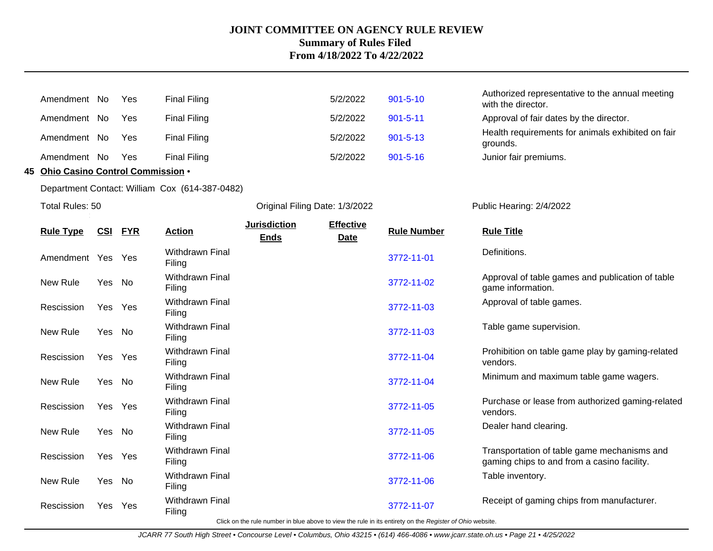| Amendment No | <b>Yes</b> | <b>Final Filing</b> | 5/2/2022 | $901 - 5 - 10$ | Authorized representative to the annual meeting<br>with the director. |
|--------------|------------|---------------------|----------|----------------|-----------------------------------------------------------------------|
| Amendment No | Yes        | Final Filing        | 5/2/2022 | $901 - 5 - 11$ | Approval of fair dates by the director.                               |
| Amendment No | Yes        | <b>Final Filing</b> | 5/2/2022 | $901 - 5 - 13$ | Health requirements for animals exhibited on fair<br>grounds.         |
| Amendment No | Yes        | <b>Final Filing</b> | 5/2/2022 | $901 - 5 - 16$ | Junior fair premiums.                                                 |
|              |            |                     |          |                |                                                                       |

**45 Ohio Casino Control Commission** •

Department Contact: William Cox (614-387-0482)

Total Rules: 50

Original Filing Date: 1/3/2022 Public Hearing: 2/4/2022

| <b>Rule Type</b> | <u>CSI</u> | <u>FYR</u> | <b>Action</b>                    | <b>Jurisdiction</b><br><b>Ends</b> | <b>Effective</b><br>Date | <b>Rule Number</b>                                                                                       | <b>Rule Title</b>                                                                          |
|------------------|------------|------------|----------------------------------|------------------------------------|--------------------------|----------------------------------------------------------------------------------------------------------|--------------------------------------------------------------------------------------------|
| Amendment        | Yes Yes    |            | <b>Withdrawn Final</b><br>Filing |                                    |                          | 3772-11-01                                                                                               | Definitions.                                                                               |
| New Rule         | Yes No     |            | <b>Withdrawn Final</b><br>Filing |                                    |                          | 3772-11-02                                                                                               | Approval of table games and publication of table<br>game information.                      |
| Rescission       |            | Yes Yes    | <b>Withdrawn Final</b><br>Filing |                                    |                          | 3772-11-03                                                                                               | Approval of table games.                                                                   |
| New Rule         |            | Yes No     | <b>Withdrawn Final</b><br>Filing |                                    |                          | 3772-11-03                                                                                               | Table game supervision.                                                                    |
| Rescission       | Yes        | Yes        | <b>Withdrawn Final</b><br>Filing |                                    |                          | 3772-11-04                                                                                               | Prohibition on table game play by gaming-related<br>vendors.                               |
| New Rule         | Yes No     |            | <b>Withdrawn Final</b><br>Filing |                                    |                          | 3772-11-04                                                                                               | Minimum and maximum table game wagers.                                                     |
| Rescission       |            | Yes Yes    | <b>Withdrawn Final</b><br>Filing |                                    |                          | 3772-11-05                                                                                               | Purchase or lease from authorized gaming-related<br>vendors.                               |
| New Rule         |            | Yes No     | <b>Withdrawn Final</b><br>Filing |                                    |                          | 3772-11-05                                                                                               | Dealer hand clearing.                                                                      |
| Rescission       |            | Yes Yes    | <b>Withdrawn Final</b><br>Filing |                                    |                          | 3772-11-06                                                                                               | Transportation of table game mechanisms and<br>gaming chips to and from a casino facility. |
| New Rule         | Yes No     |            | <b>Withdrawn Final</b><br>Filing |                                    |                          | 3772-11-06                                                                                               | Table inventory.                                                                           |
| Rescission       |            | Yes Yes    | <b>Withdrawn Final</b><br>Filing |                                    |                          | 3772-11-07                                                                                               | Receipt of gaming chips from manufacturer.                                                 |
|                  |            |            |                                  |                                    |                          | Click on the rule number in blue above to view the rule in its entirety on the Register of Ohio website. |                                                                                            |

JCARR 77 South High Street • Concourse Level • Columbus, Ohio 43215 • (614) 466-4086 • www.jcarr.state.oh.us • Page 21 • 4/25/2022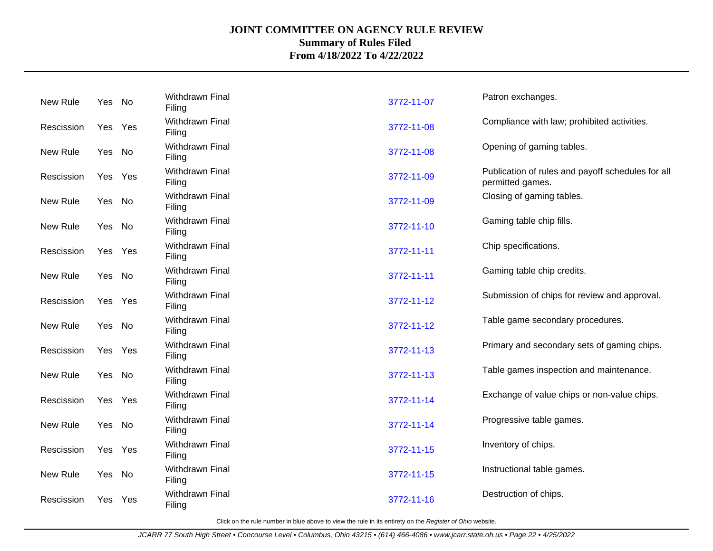| Withdrawn Final<br>Patron exchanges.<br>New Rule<br>Yes No<br>3772-11-07<br>Filing<br>Withdrawn Final<br>Compliance with law; prohibited activities.<br>3772-11-08<br>Yes Yes<br>Rescission<br>Filing<br>Withdrawn Final<br>Opening of gaming tables.<br>New Rule<br>3772-11-08<br>Yes No<br>Filing<br>Withdrawn Final<br>Publication of rules and payoff schedules for all<br>3772-11-09<br>Rescission<br>Yes Yes<br>Filing<br>permitted games. |  |
|--------------------------------------------------------------------------------------------------------------------------------------------------------------------------------------------------------------------------------------------------------------------------------------------------------------------------------------------------------------------------------------------------------------------------------------------------|--|
|                                                                                                                                                                                                                                                                                                                                                                                                                                                  |  |
|                                                                                                                                                                                                                                                                                                                                                                                                                                                  |  |
|                                                                                                                                                                                                                                                                                                                                                                                                                                                  |  |
|                                                                                                                                                                                                                                                                                                                                                                                                                                                  |  |
| Withdrawn Final<br>Closing of gaming tables.<br>New Rule<br>3772-11-09<br>Yes No<br>Filing                                                                                                                                                                                                                                                                                                                                                       |  |
| Withdrawn Final<br>Gaming table chip fills.<br>New Rule<br>3772-11-10<br>Yes No<br>Filing                                                                                                                                                                                                                                                                                                                                                        |  |
| Withdrawn Final<br>Chip specifications.<br>3772-11-11<br>Rescission<br>Yes Yes<br>Filing                                                                                                                                                                                                                                                                                                                                                         |  |
| Withdrawn Final<br>Gaming table chip credits.<br>New Rule<br>3772-11-11<br>Yes No<br>Filing                                                                                                                                                                                                                                                                                                                                                      |  |
| Withdrawn Final<br>Submission of chips for review and approval.<br>3772-11-12<br>Rescission<br>Yes<br>Yes<br>Filing                                                                                                                                                                                                                                                                                                                              |  |
| Withdrawn Final<br>Table game secondary procedures.<br>New Rule<br>Yes No<br>3772-11-12<br>Filing                                                                                                                                                                                                                                                                                                                                                |  |
| Withdrawn Final<br>Primary and secondary sets of gaming chips.<br>3772-11-13<br>Rescission<br>Yes<br>Yes<br>Filing                                                                                                                                                                                                                                                                                                                               |  |
| Withdrawn Final<br>Table games inspection and maintenance.<br>New Rule<br>3772-11-13<br>Yes No<br>Filing                                                                                                                                                                                                                                                                                                                                         |  |
| Withdrawn Final<br>Exchange of value chips or non-value chips.<br>3772-11-14<br>Rescission<br>Yes Yes<br>Filing                                                                                                                                                                                                                                                                                                                                  |  |
| Withdrawn Final<br>Progressive table games.<br>New Rule<br>3772-11-14<br>Yes No<br>Filing                                                                                                                                                                                                                                                                                                                                                        |  |
| Withdrawn Final<br>Inventory of chips.<br>3772-11-15<br>Rescission<br>Yes<br>Yes<br>Filing                                                                                                                                                                                                                                                                                                                                                       |  |
| Withdrawn Final<br>Instructional table games.<br>New Rule<br>3772-11-15<br>Yes No<br>Filing                                                                                                                                                                                                                                                                                                                                                      |  |
| Withdrawn Final<br>Destruction of chips.<br>3772-11-16<br>Rescission<br>Yes<br>Yes<br>Filing                                                                                                                                                                                                                                                                                                                                                     |  |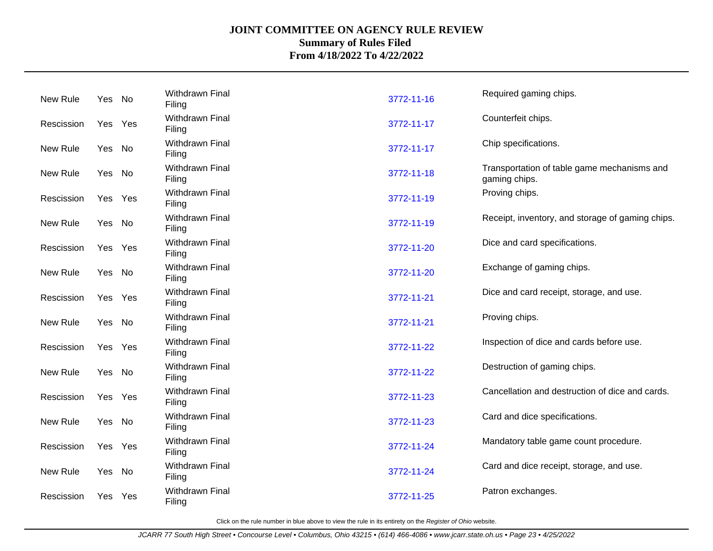| New Rule   | Yes No  |     | Withdrawn Final<br>Filing        | 3772-11-16 | Required gaming chips.                                       |
|------------|---------|-----|----------------------------------|------------|--------------------------------------------------------------|
| Rescission | Yes     | Yes | Withdrawn Final<br>Filing        | 3772-11-17 | Counterfeit chips.                                           |
| New Rule   | Yes No  |     | Withdrawn Final<br>Filing        | 3772-11-17 | Chip specifications.                                         |
| New Rule   | Yes No  |     | Withdrawn Final<br>Filing        | 3772-11-18 | Transportation of table game mechanisms and<br>gaming chips. |
| Rescission | Yes     | Yes | Withdrawn Final<br>Filing        | 3772-11-19 | Proving chips.                                               |
| New Rule   | Yes No  |     | Withdrawn Final<br>Filing        | 3772-11-19 | Receipt, inventory, and storage of gaming chips.             |
| Rescission | Yes Yes |     | Withdrawn Final<br>Filing        | 3772-11-20 | Dice and card specifications.                                |
| New Rule   | Yes No  |     | Withdrawn Final<br>Filing        | 3772-11-20 | Exchange of gaming chips.                                    |
| Rescission | Yes     | Yes | Withdrawn Final<br>Filing        | 3772-11-21 | Dice and card receipt, storage, and use.                     |
| New Rule   | Yes No  |     | Withdrawn Final<br>Filing        | 3772-11-21 | Proving chips.                                               |
| Rescission | Yes     | Yes | Withdrawn Final<br>Filing        | 3772-11-22 | Inspection of dice and cards before use.                     |
| New Rule   | Yes No  |     | Withdrawn Final<br>Filing        | 3772-11-22 | Destruction of gaming chips.                                 |
| Rescission | Yes     | Yes | Withdrawn Final<br>Filing        | 3772-11-23 | Cancellation and destruction of dice and cards.              |
| New Rule   | Yes     | No  | Withdrawn Final<br>Filing        | 3772-11-23 | Card and dice specifications.                                |
| Rescission | Yes     | Yes | Withdrawn Final<br>Filing        | 3772-11-24 | Mandatory table game count procedure.                        |
| New Rule   | Yes No  |     | Withdrawn Final<br>Filing        | 3772-11-24 | Card and dice receipt, storage, and use.                     |
| Rescission | Yes     | Yes | <b>Withdrawn Final</b><br>Filing | 3772-11-25 | Patron exchanges.                                            |
|            |         |     |                                  |            |                                                              |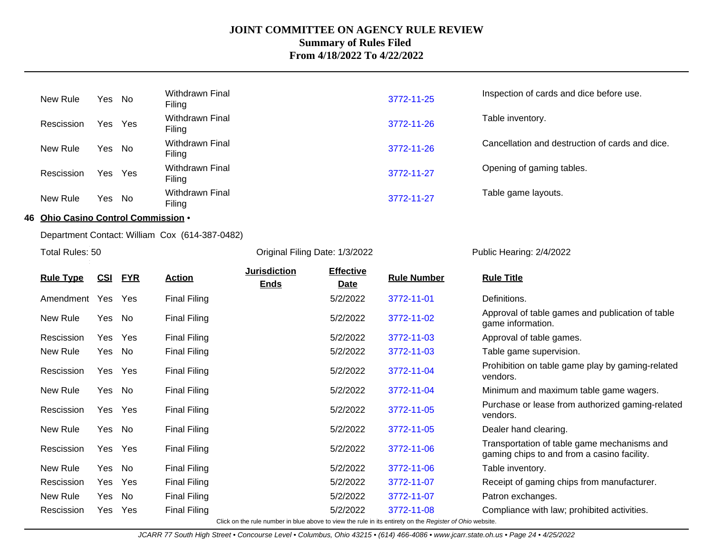| New Rule   | Yes No  | Withdrawn Final<br>Filing | 3772-11-25 | Inspection of cards and dice before use.        |
|------------|---------|---------------------------|------------|-------------------------------------------------|
| Rescission | Yes Yes | Withdrawn Final<br>Filing | 3772-11-26 | Table inventory.                                |
| New Rule   | Yes No  | Withdrawn Final<br>Filing | 3772-11-26 | Cancellation and destruction of cards and dice. |
| Rescission | Yes Yes | Withdrawn Final<br>Filing | 3772-11-27 | Opening of gaming tables.                       |
| New Rule   | Yes No  | Withdrawn Final<br>Filing | 3772-11-27 | Table game layouts.                             |

## **46 Ohio Casino Control Commission** •

Department Contact: William Cox (614-387-0482)

Total Rules: 50

Original Filing Date: 1/3/2022 Public Hearing: 2/4/2022

| <b>Rule Type</b> | <u>CSI</u>                                                                                               | <b>FYR</b> | <b>Action</b>       | <b>Jurisdiction</b><br><b>Ends</b> | <b>Effective</b><br><b>Date</b> | <b>Rule Number</b> | <b>Rule Title</b>                                                                          |  |  |
|------------------|----------------------------------------------------------------------------------------------------------|------------|---------------------|------------------------------------|---------------------------------|--------------------|--------------------------------------------------------------------------------------------|--|--|
| Amendment        | Yes                                                                                                      | Yes        | <b>Final Filing</b> |                                    | 5/2/2022                        | 3772-11-01         | Definitions.                                                                               |  |  |
| New Rule         | Yes                                                                                                      | No         | <b>Final Filing</b> |                                    | 5/2/2022                        | 3772-11-02         | Approval of table games and publication of table<br>game information.                      |  |  |
| Rescission       | Yes                                                                                                      | Yes        | <b>Final Filing</b> |                                    | 5/2/2022                        | 3772-11-03         | Approval of table games.                                                                   |  |  |
| New Rule         | Yes No                                                                                                   |            | <b>Final Filing</b> |                                    | 5/2/2022                        | 3772-11-03         | Table game supervision.                                                                    |  |  |
| Rescission       | Yes                                                                                                      | Yes        | <b>Final Filing</b> |                                    | 5/2/2022                        | 3772-11-04         | Prohibition on table game play by gaming-related<br>vendors.                               |  |  |
| New Rule         | Yes                                                                                                      | No         | <b>Final Filing</b> |                                    | 5/2/2022                        | 3772-11-04         | Minimum and maximum table game wagers.                                                     |  |  |
| Rescission       | Yes                                                                                                      | Yes        | <b>Final Filing</b> |                                    | 5/2/2022                        | 3772-11-05         | Purchase or lease from authorized gaming-related<br>vendors.                               |  |  |
| New Rule         | Yes                                                                                                      | No         | <b>Final Filing</b> |                                    | 5/2/2022                        | 3772-11-05         | Dealer hand clearing.                                                                      |  |  |
| Rescission       |                                                                                                          | Yes Yes    | <b>Final Filing</b> |                                    | 5/2/2022                        | 3772-11-06         | Transportation of table game mechanisms and<br>gaming chips to and from a casino facility. |  |  |
| New Rule         | Yes                                                                                                      | No         | <b>Final Filing</b> |                                    | 5/2/2022                        | 3772-11-06         | Table inventory.                                                                           |  |  |
| Rescission       | Yes                                                                                                      | Yes        | <b>Final Filing</b> |                                    | 5/2/2022                        | 3772-11-07         | Receipt of gaming chips from manufacturer.                                                 |  |  |
| New Rule         | Yes                                                                                                      | No         | <b>Final Filing</b> |                                    | 5/2/2022                        | 3772-11-07         | Patron exchanges.                                                                          |  |  |
| Rescission       | Yes.                                                                                                     | <b>Yes</b> | <b>Final Filing</b> |                                    | 5/2/2022                        | 3772-11-08         | Compliance with law; prohibited activities.                                                |  |  |
|                  | Click on the rule number in blue above to view the rule in its entirety on the Register of Ohio website. |            |                     |                                    |                                 |                    |                                                                                            |  |  |

JCARR 77 South High Street • Concourse Level • Columbus, Ohio 43215 • (614) 466-4086 • www.jcarr.state.oh.us • Page 24 • 4/25/2022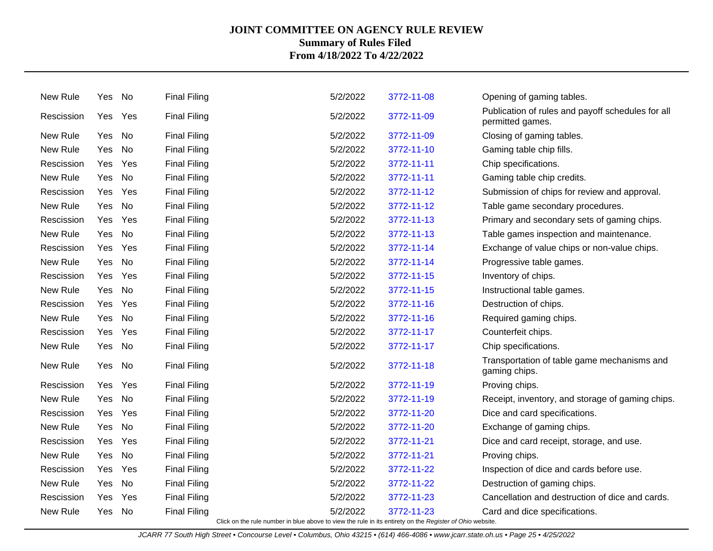| New Rule   | Yes No |         | <b>Final Filing</b> | 5/2/2022 | 3772-11-08                                                              | Opening of gaming tables.                                             |
|------------|--------|---------|---------------------|----------|-------------------------------------------------------------------------|-----------------------------------------------------------------------|
| Rescission |        | Yes Yes | <b>Final Filing</b> | 5/2/2022 | 3772-11-09                                                              | Publication of rules and payoff schedules for all<br>permitted games. |
| New Rule   | Yes    | No      | <b>Final Filing</b> | 5/2/2022 | 3772-11-09                                                              | Closing of gaming tables.                                             |
| New Rule   | Yes    | No      | <b>Final Filing</b> | 5/2/2022 | 3772-11-10                                                              | Gaming table chip fills.                                              |
| Rescission | Yes    | Yes     | <b>Final Filing</b> | 5/2/2022 | 3772-11-11                                                              | Chip specifications.                                                  |
| New Rule   | Yes    | No      | <b>Final Filing</b> | 5/2/2022 | 3772-11-11                                                              | Gaming table chip credits.                                            |
| Rescission |        | Yes Yes | <b>Final Filing</b> | 5/2/2022 | 3772-11-12                                                              | Submission of chips for review and approval.                          |
| New Rule   | Yes    | No      | <b>Final Filing</b> | 5/2/2022 | 3772-11-12                                                              | Table game secondary procedures.                                      |
| Rescission | Yes    | Yes     | <b>Final Filing</b> | 5/2/2022 | 3772-11-13                                                              | Primary and secondary sets of gaming chips.                           |
| New Rule   | Yes    | No      | <b>Final Filing</b> | 5/2/2022 | 3772-11-13                                                              | Table games inspection and maintenance.                               |
| Rescission | Yes    | Yes     | <b>Final Filing</b> | 5/2/2022 | 3772-11-14                                                              | Exchange of value chips or non-value chips.                           |
| New Rule   | Yes    | No      | <b>Final Filing</b> | 5/2/2022 | 3772-11-14                                                              | Progressive table games.                                              |
| Rescission | Yes    | Yes     | <b>Final Filing</b> | 5/2/2022 | 3772-11-15                                                              | Inventory of chips.                                                   |
| New Rule   | Yes    | No      | <b>Final Filing</b> | 5/2/2022 | 3772-11-15                                                              | Instructional table games.                                            |
| Rescission | Yes    | Yes     | <b>Final Filing</b> | 5/2/2022 | 3772-11-16                                                              | Destruction of chips.                                                 |
| New Rule   | Yes    | No      | <b>Final Filing</b> | 5/2/2022 | 3772-11-16                                                              | Required gaming chips.                                                |
| Rescission | Yes    | Yes     | <b>Final Filing</b> | 5/2/2022 | 3772-11-17                                                              | Counterfeit chips.                                                    |
| New Rule   | Yes    | No      | <b>Final Filing</b> | 5/2/2022 | 3772-11-17                                                              | Chip specifications.                                                  |
| New Rule   | Yes    | No      | <b>Final Filing</b> | 5/2/2022 | 3772-11-18                                                              | Transportation of table game mechanisms and<br>gaming chips.          |
| Rescission | Yes    | Yes     | <b>Final Filing</b> | 5/2/2022 | 3772-11-19                                                              | Proving chips.                                                        |
| New Rule   | Yes    | No      | <b>Final Filing</b> | 5/2/2022 | 3772-11-19                                                              | Receipt, inventory, and storage of gaming chips.                      |
| Rescission |        | Yes Yes | <b>Final Filing</b> | 5/2/2022 | 3772-11-20                                                              | Dice and card specifications.                                         |
| New Rule   | Yes    | No      | <b>Final Filing</b> | 5/2/2022 | 3772-11-20                                                              | Exchange of gaming chips.                                             |
| Rescission | Yes    | Yes     | <b>Final Filing</b> | 5/2/2022 | 3772-11-21                                                              | Dice and card receipt, storage, and use.                              |
| New Rule   | Yes    | No      | <b>Final Filing</b> | 5/2/2022 | 3772-11-21                                                              | Proving chips.                                                        |
| Rescission | Yes    | Yes     | <b>Final Filing</b> | 5/2/2022 | 3772-11-22                                                              | Inspection of dice and cards before use.                              |
| New Rule   | Yes    | No      | <b>Final Filing</b> | 5/2/2022 | 3772-11-22                                                              | Destruction of gaming chips.                                          |
| Rescission | Yes    | Yes     | <b>Final Filing</b> | 5/2/2022 | 3772-11-23                                                              | Cancellation and destruction of dice and cards.                       |
| New Rule   | Yes No |         | <b>Final Filing</b> | 5/2/2022 | 3772-11-23<br>the rule in its entirety on the Demister of Objectedesite | Card and dice specifications.                                         |

Click on the rule number in blue above to view the rule in its entirety on the Register of Ohio website.

JCARR 77 South High Street • Concourse Level • Columbus, Ohio 43215 • (614) 466-4086 • www.jcarr.state.oh.us • Page 25 • 4/25/2022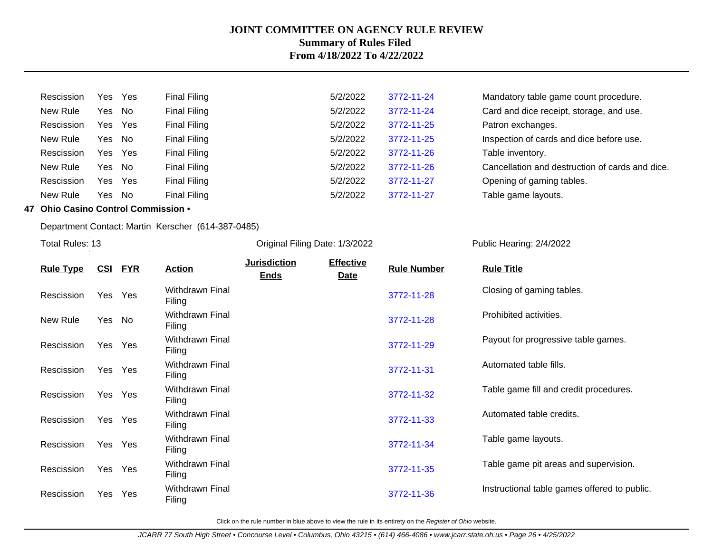| Rescission | Yes Yes |     | <b>Final Filing</b> | 5/2/2022 | 3772-11-24 | Mandatory table game count procedure.           |
|------------|---------|-----|---------------------|----------|------------|-------------------------------------------------|
| New Rule   | Yes No  |     | <b>Final Filing</b> | 5/2/2022 | 3772-11-24 | Card and dice receipt, storage, and use.        |
| Rescission | Yes Yes |     | <b>Final Filing</b> | 5/2/2022 | 3772-11-25 | Patron exchanges.                               |
| New Rule   | Yes     | No  | <b>Final Filing</b> | 5/2/2022 | 3772-11-25 | Inspection of cards and dice before use.        |
| Rescission | Yes     | Yes | <b>Final Filing</b> | 5/2/2022 | 3772-11-26 | Table inventory.                                |
| New Rule   | Yes No  |     | Final Filing        | 5/2/2022 | 3772-11-26 | Cancellation and destruction of cards and dice. |
| Rescission | Yes     | Yes | Final Filing        | 5/2/2022 | 3772-11-27 | Opening of gaming tables.                       |
| New Rule   | Yes     | No  | Final Filing        | 5/2/2022 | 3772-11-27 | Table game layouts.                             |

# **47 Ohio Casino Control Commission** •

Department Contact: Martin Kerscher (614-387-0485)

Total Rules: 13

Original Filing Date: 1/3/2022 Public Hearing: 2/4/2022

| <b>Rule Type</b> | <u>CSI</u> | <u>FYR</u> | <b>Action</b>                    | <b>Jurisdiction</b> | <b>Effective</b> | <b>Rule Number</b> | <b>Rule Title</b>                            |
|------------------|------------|------------|----------------------------------|---------------------|------------------|--------------------|----------------------------------------------|
|                  |            |            |                                  | <b>Ends</b>         | <b>Date</b>      |                    |                                              |
| Rescission       | Yes        | Yes        | <b>Withdrawn Final</b><br>Filing |                     |                  | 3772-11-28         | Closing of gaming tables.                    |
| New Rule         | Yes        | No         | <b>Withdrawn Final</b><br>Filing |                     |                  | 3772-11-28         | Prohibited activities.                       |
| Rescission       | Yes        | Yes        | <b>Withdrawn Final</b><br>Filing |                     |                  | 3772-11-29         | Payout for progressive table games.          |
| Rescission       | Yes        | Yes        | <b>Withdrawn Final</b><br>Filing |                     |                  | 3772-11-31         | Automated table fills.                       |
| Rescission       | Yes        | Yes        | <b>Withdrawn Final</b><br>Filing |                     |                  | 3772-11-32         | Table game fill and credit procedures.       |
| Rescission       | Yes        | Yes        | <b>Withdrawn Final</b><br>Filing |                     |                  | 3772-11-33         | Automated table credits.                     |
| Rescission       | Yes        | Yes        | <b>Withdrawn Final</b><br>Filing |                     |                  | 3772-11-34         | Table game layouts.                          |
| Rescission       | Yes        | Yes        | <b>Withdrawn Final</b><br>Filing |                     |                  | 3772-11-35         | Table game pit areas and supervision.        |
| Rescission       | Yes        | Yes        | <b>Withdrawn Final</b><br>Filing |                     |                  | 3772-11-36         | Instructional table games offered to public. |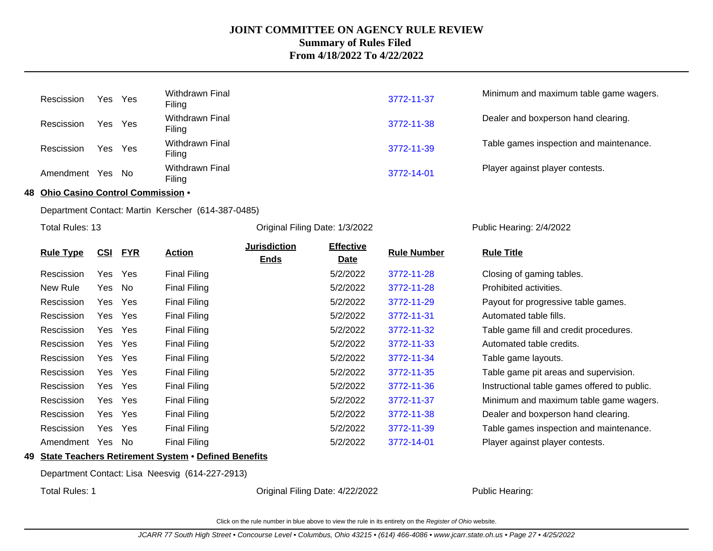| Rescission | Yes Yes | Withdrawn Final<br>Filing        | 3772-11-37 | Minimum and maximum table game wagers.  |
|------------|---------|----------------------------------|------------|-----------------------------------------|
| Rescission | Yes Yes | Withdrawn Final<br>Filing        | 3772-11-38 | Dealer and boxperson hand clearing.     |
| Rescission | Yes Yes | <b>Withdrawn Final</b><br>Filing | 3772-11-39 | Table games inspection and maintenance. |
| Amendment  | Yes No  | <b>Withdrawn Final</b><br>Filing | 3772-14-01 | Player against player contests.         |

**48 Ohio Casino Control Commission** •

Department Contact: Martin Kerscher (614-387-0485)

Total Rules: 13

Original Filing Date: 1/3/2022 Public Hearing: 2/4/2022

| <b>Rule Type</b> | <u>CSI</u> | <u>FYR</u> | <b>Action</b>       | <b>Jurisdiction</b><br><b>Ends</b> | <b>Effective</b><br><b>Date</b> | <b>Rule Number</b> | <b>Rule Title</b>                            |
|------------------|------------|------------|---------------------|------------------------------------|---------------------------------|--------------------|----------------------------------------------|
| Rescission       | Yes        | Yes        | <b>Final Filing</b> |                                    | 5/2/2022                        | 3772-11-28         | Closing of gaming tables.                    |
| New Rule         | Yes        | No         | <b>Final Filing</b> |                                    | 5/2/2022                        | 3772-11-28         | Prohibited activities.                       |
| Rescission       | Yes        | Yes        | <b>Final Filing</b> |                                    | 5/2/2022                        | 3772-11-29         | Payout for progressive table games.          |
| Rescission       | Yes        | Yes        | <b>Final Filing</b> |                                    | 5/2/2022                        | 3772-11-31         | Automated table fills.                       |
| Rescission       | Yes        | <b>Yes</b> | <b>Final Filing</b> |                                    | 5/2/2022                        | 3772-11-32         | Table game fill and credit procedures.       |
| Rescission       | Yes        | <b>Yes</b> | <b>Final Filing</b> |                                    | 5/2/2022                        | 3772-11-33         | Automated table credits.                     |
| Rescission       | Yes.       | <b>Yes</b> | <b>Final Filing</b> |                                    | 5/2/2022                        | 3772-11-34         | Table game layouts.                          |
| Rescission       | Yes        | <b>Yes</b> | <b>Final Filing</b> |                                    | 5/2/2022                        | 3772-11-35         | Table game pit areas and supervision.        |
| Rescission       | Yes.       | Yes        | <b>Final Filing</b> |                                    | 5/2/2022                        | 3772-11-36         | Instructional table games offered to public. |
| Rescission       | Yes        | <b>Yes</b> | <b>Final Filing</b> |                                    | 5/2/2022                        | 3772-11-37         | Minimum and maximum table game wagers.       |
| Rescission       | Yes        | <b>Yes</b> | <b>Final Filing</b> |                                    | 5/2/2022                        | 3772-11-38         | Dealer and boxperson hand clearing.          |
| Rescission       | Yes        | Yes        | <b>Final Filing</b> |                                    | 5/2/2022                        | 3772-11-39         | Table games inspection and maintenance.      |
| Amendment        | Yes        | No         | <b>Final Filing</b> |                                    | 5/2/2022                        | 3772-14-01         | Player against player contests.              |

### **49 State Teachers Retirement System** • **Defined Benefits**

Department Contact: Lisa Neesvig (614-227-2913)

Total Rules: 1

Original Filing Date: 4/22/2022 Public Hearing: